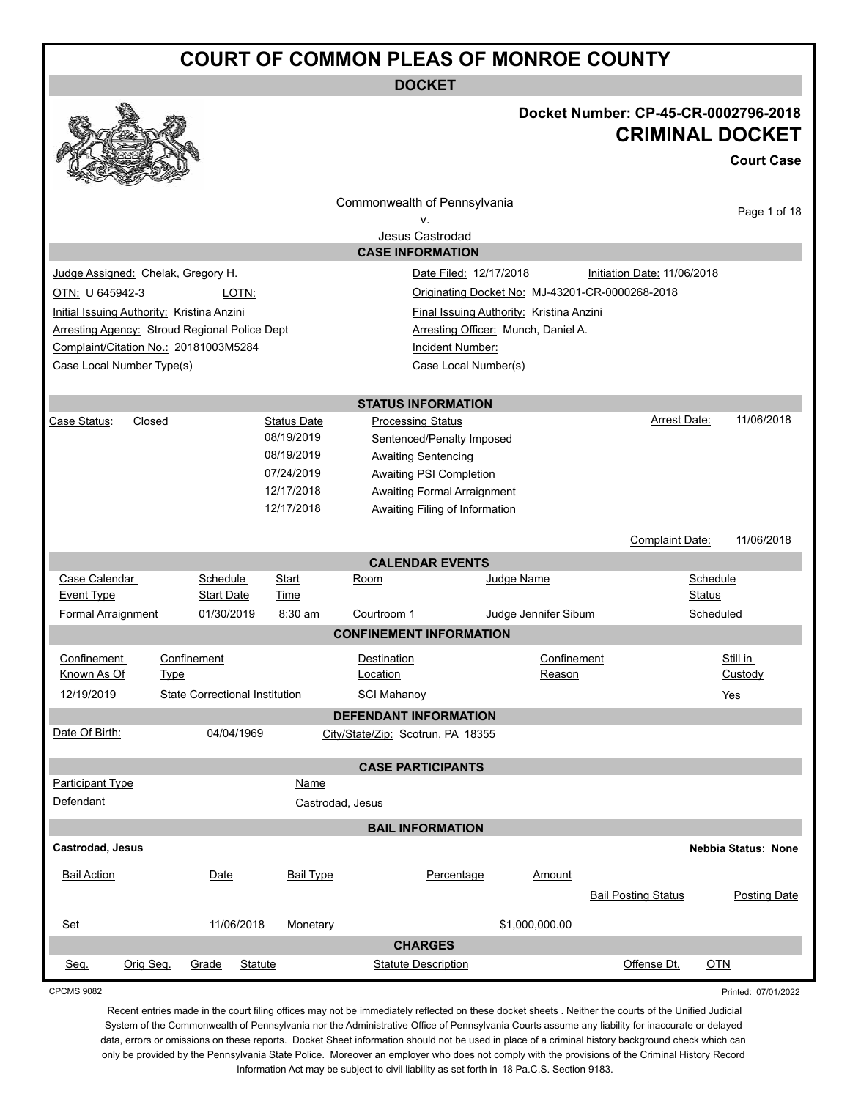**DOCKET**

#### **Docket Number: CP-45-CR-0002796-2018 CRIMINAL DOCKET**

**Court Case**

|                                            |                                                      |                          |                                                       |                                                               |                      |                                                 | <b>Court Case</b>   |  |
|--------------------------------------------|------------------------------------------------------|--------------------------|-------------------------------------------------------|---------------------------------------------------------------|----------------------|-------------------------------------------------|---------------------|--|
|                                            |                                                      |                          | Commonwealth of Pennsylvania<br>ν.<br>Jesus Castrodad |                                                               |                      |                                                 | Page 1 of 18        |  |
|                                            |                                                      |                          | <b>CASE INFORMATION</b>                               |                                                               |                      |                                                 |                     |  |
| Judge Assigned: Chelak, Gregory H.         |                                                      |                          |                                                       | Date Filed: 12/17/2018                                        |                      | Initiation Date: 11/06/2018                     |                     |  |
| OTN: U 645942-3                            | LOTN:                                                |                          |                                                       |                                                               |                      | Originating Docket No: MJ-43201-CR-0000268-2018 |                     |  |
| Initial Issuing Authority: Kristina Anzini |                                                      |                          |                                                       | Final Issuing Authority: Kristina Anzini                      |                      |                                                 |                     |  |
|                                            | <b>Arresting Agency: Stroud Regional Police Dept</b> |                          |                                                       | Arresting Officer: Munch, Daniel A.                           |                      |                                                 |                     |  |
|                                            | Complaint/Citation No.: 20181003M5284                |                          |                                                       | Incident Number:                                              |                      |                                                 |                     |  |
| Case Local Number Type(s)                  |                                                      |                          |                                                       | Case Local Number(s)                                          |                      |                                                 |                     |  |
|                                            |                                                      |                          |                                                       |                                                               |                      |                                                 |                     |  |
|                                            |                                                      |                          | <b>STATUS INFORMATION</b>                             |                                                               |                      |                                                 |                     |  |
| Closed<br>Case Status:                     |                                                      | <b>Status Date</b>       | <b>Processing Status</b>                              |                                                               |                      | Arrest Date:                                    | 11/06/2018          |  |
|                                            |                                                      | 08/19/2019               |                                                       | Sentenced/Penalty Imposed                                     |                      |                                                 |                     |  |
|                                            |                                                      | 08/19/2019               | <b>Awaiting Sentencing</b>                            |                                                               |                      |                                                 |                     |  |
|                                            |                                                      | 07/24/2019<br>12/17/2018 | Awaiting PSI Completion                               |                                                               |                      |                                                 |                     |  |
|                                            |                                                      | 12/17/2018               |                                                       | Awaiting Formal Arraignment<br>Awaiting Filing of Information |                      |                                                 |                     |  |
|                                            |                                                      |                          |                                                       |                                                               |                      |                                                 |                     |  |
|                                            |                                                      |                          |                                                       |                                                               |                      | Complaint Date:                                 | 11/06/2018          |  |
|                                            |                                                      |                          | <b>CALENDAR EVENTS</b>                                |                                                               |                      |                                                 |                     |  |
| Case Calendar<br><b>Event Type</b>         | Schedule<br><b>Start Date</b>                        | Start<br>Time            | Room                                                  |                                                               | Judge Name           |                                                 | Schedule<br>Status  |  |
| Formal Arraignment                         | 01/30/2019                                           | 8:30 am                  | Courtroom 1                                           |                                                               | Judge Jennifer Sibum |                                                 | Scheduled           |  |
|                                            |                                                      |                          | <b>CONFINEMENT INFORMATION</b>                        |                                                               |                      |                                                 |                     |  |
| Confinement                                | Confinement                                          |                          | Destination                                           |                                                               | Confinement          |                                                 | Still in            |  |
| Known As Of                                | <b>Type</b>                                          |                          | Location                                              |                                                               | Reason               |                                                 | Custody             |  |
| 12/19/2019                                 | <b>State Correctional Institution</b>                |                          | <b>SCI Mahanoy</b>                                    |                                                               |                      |                                                 | Yes                 |  |
|                                            |                                                      |                          | <b>DEFENDANT INFORMATION</b>                          |                                                               |                      |                                                 |                     |  |
| Date Of Birth:                             | 04/04/1969                                           |                          | City/State/Zip: Scotrun, PA 18355                     |                                                               |                      |                                                 |                     |  |
|                                            |                                                      |                          | <b>CASE PARTICIPANTS</b>                              |                                                               |                      |                                                 |                     |  |
| <b>Participant Type</b>                    |                                                      | Name                     |                                                       |                                                               |                      |                                                 |                     |  |
| Defendant                                  |                                                      | Castrodad, Jesus         |                                                       |                                                               |                      |                                                 |                     |  |
|                                            |                                                      |                          | <b>BAIL INFORMATION</b>                               |                                                               |                      |                                                 |                     |  |
| <b>Castrodad, Jesus</b>                    |                                                      |                          |                                                       |                                                               |                      |                                                 | Nebbia Status: None |  |
| <b>Bail Action</b>                         | Date                                                 | <b>Bail Type</b>         |                                                       | Percentage                                                    | Amount               |                                                 |                     |  |
|                                            |                                                      |                          |                                                       |                                                               |                      |                                                 |                     |  |
|                                            |                                                      |                          |                                                       |                                                               |                      | <b>Bail Posting Status</b>                      | <b>Posting Date</b> |  |
| Set                                        | 11/06/2018                                           | Monetary                 |                                                       |                                                               | \$1,000,000.00       |                                                 |                     |  |
|                                            |                                                      |                          | <b>CHARGES</b>                                        |                                                               |                      |                                                 |                     |  |
| Orig Seq.<br>Seq.                          | Grade<br><b>Statute</b>                              |                          | <b>Statute Description</b>                            |                                                               |                      | Offense Dt.                                     | <b>OTN</b>          |  |

CPCMS 9082

Printed: 07/01/2022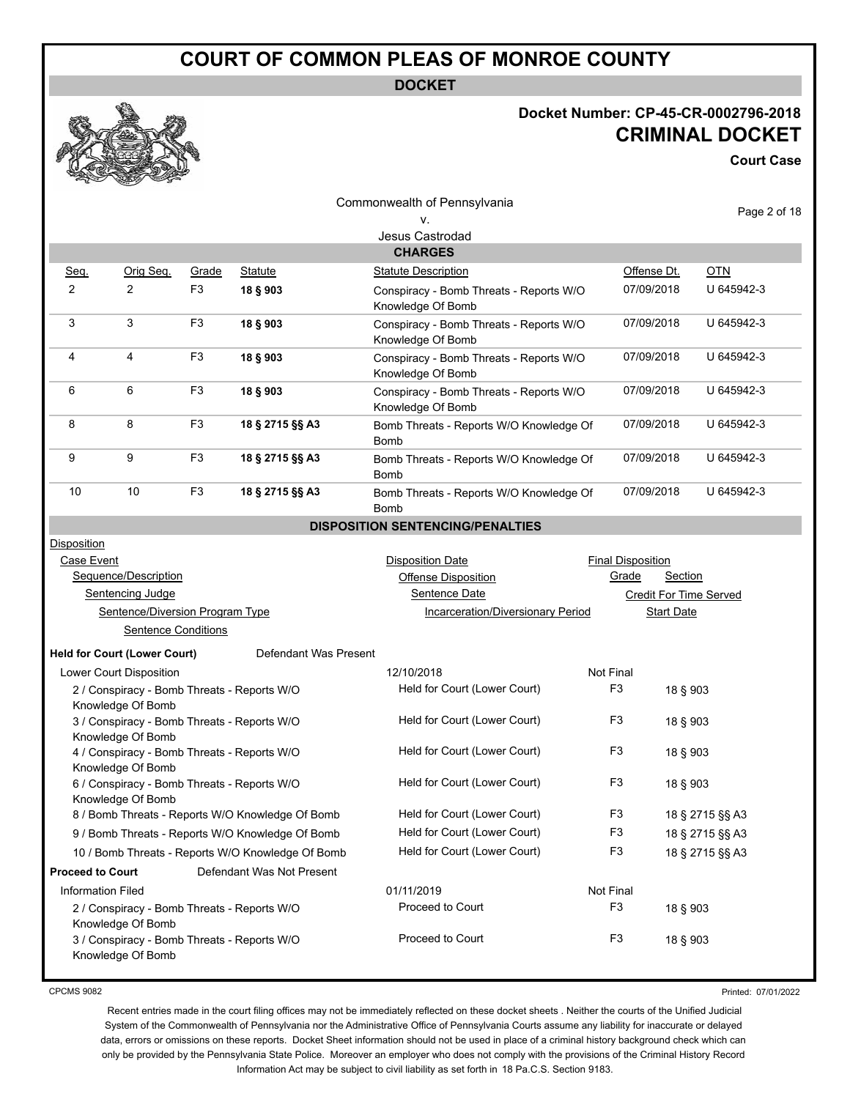**DOCKET**

#### **Docket Number: CP-45-CR-0002796-2018 CRIMINAL DOCKET**

**Court Case**

|                                                                      |                                                                  |                |                                                   | Commonwealth of Pennsylvania                                 |                                         |                          |                |                        |
|----------------------------------------------------------------------|------------------------------------------------------------------|----------------|---------------------------------------------------|--------------------------------------------------------------|-----------------------------------------|--------------------------|----------------|------------------------|
|                                                                      |                                                                  |                |                                                   | ٧.                                                           |                                         |                          |                | Page 2 of 18           |
|                                                                      |                                                                  |                |                                                   | Jesus Castrodad                                              |                                         |                          |                |                        |
|                                                                      |                                                                  |                |                                                   | <b>CHARGES</b>                                               |                                         |                          |                |                        |
| Seq.                                                                 | Orig Seq.                                                        | Grade          | Statute                                           | <b>Statute Description</b>                                   |                                         | Offense Dt.              |                | <b>OTN</b>             |
| $\overline{2}$                                                       | $\overline{2}$                                                   | F <sub>3</sub> | 18 § 903                                          | Conspiracy - Bomb Threats - Reports W/O<br>Knowledge Of Bomb |                                         | 07/09/2018               |                | U 645942-3             |
| 3                                                                    | 3                                                                | F <sub>3</sub> | 18 § 903                                          | Conspiracy - Bomb Threats - Reports W/O<br>Knowledge Of Bomb |                                         | 07/09/2018               |                | U 645942-3             |
| 4                                                                    | 4                                                                | F <sub>3</sub> | 18 § 903                                          | Conspiracy - Bomb Threats - Reports W/O<br>Knowledge Of Bomb |                                         | 07/09/2018               |                | U 645942-3             |
| 6                                                                    | 6                                                                | F <sub>3</sub> | 18 § 903                                          | Conspiracy - Bomb Threats - Reports W/O<br>Knowledge Of Bomb |                                         | 07/09/2018               |                | U 645942-3             |
| 8                                                                    | 8                                                                | F <sub>3</sub> | 18 § 2715 §§ A3                                   | Bomb Threats - Reports W/O Knowledge Of<br>Bomb              |                                         | 07/09/2018               |                | U 645942-3             |
| 9                                                                    | 9                                                                | F <sub>3</sub> | 18 § 2715 §§ A3                                   | Bomb Threats - Reports W/O Knowledge Of<br>Bomb              |                                         | 07/09/2018               |                | U 645942-3             |
| 10                                                                   | 10                                                               | F <sub>3</sub> | 18 § 2715 §§ A3                                   | Bomb                                                         | Bomb Threats - Reports W/O Knowledge Of |                          | 07/09/2018     | U 645942-3             |
|                                                                      |                                                                  |                |                                                   | <b>DISPOSITION SENTENCING/PENALTIES</b>                      |                                         |                          |                |                        |
| <b>Disposition</b>                                                   |                                                                  |                |                                                   |                                                              |                                         |                          |                |                        |
| Case Event                                                           |                                                                  |                |                                                   | <b>Disposition Date</b>                                      |                                         | <b>Final Disposition</b> |                |                        |
|                                                                      | Sequence/Description                                             |                |                                                   | Offense Disposition                                          |                                         | Grade                    | <b>Section</b> |                        |
|                                                                      | Sentencing Judge                                                 |                |                                                   | Sentence Date                                                |                                         |                          |                | Credit For Time Served |
| Sentence/Diversion Program Type<br>Incarceration/Diversionary Period |                                                                  |                |                                                   |                                                              | <b>Start Date</b>                       |                          |                |                        |
|                                                                      | <b>Sentence Conditions</b>                                       |                |                                                   |                                                              |                                         |                          |                |                        |
|                                                                      | <b>Held for Court (Lower Court)</b>                              |                | Defendant Was Present                             |                                                              |                                         |                          |                |                        |
|                                                                      | Lower Court Disposition                                          |                |                                                   | 12/10/2018                                                   |                                         | Not Final                |                |                        |
|                                                                      | 2 / Conspiracy - Bomb Threats - Reports W/O<br>Knowledge Of Bomb |                |                                                   | Held for Court (Lower Court)                                 |                                         | F <sub>3</sub>           | 18 § 903       |                        |
|                                                                      | 3 / Conspiracy - Bomb Threats - Reports W/O<br>Knowledge Of Bomb |                |                                                   | Held for Court (Lower Court)                                 |                                         | F <sub>3</sub>           | 18 § 903       |                        |
|                                                                      | 4 / Conspiracy - Bomb Threats - Reports W/O<br>Knowledge Of Bomb |                |                                                   | Held for Court (Lower Court)                                 |                                         | F <sub>3</sub>           | 18 § 903       |                        |
|                                                                      | 6 / Conspiracy - Bomb Threats - Reports W/O<br>Knowledge Of Bomb |                |                                                   | Held for Court (Lower Court)                                 |                                         | F <sub>3</sub>           | 18 § 903       |                        |
| 8 / Bomb Threats - Reports W/O Knowledge Of Bomb                     |                                                                  |                | Held for Court (Lower Court)<br>F <sub>3</sub>    |                                                              |                                         | 18 § 2715 §§ A3          |                |                        |
|                                                                      |                                                                  |                | 9 / Bomb Threats - Reports W/O Knowledge Of Bomb  | Held for Court (Lower Court)                                 |                                         | F <sub>3</sub>           |                | 18 § 2715 §§ A3        |
|                                                                      |                                                                  |                | 10 / Bomb Threats - Reports W/O Knowledge Of Bomb | Held for Court (Lower Court)                                 |                                         | F <sub>3</sub>           |                | 18 § 2715 §§ A3        |
| <b>Proceed to Court</b>                                              |                                                                  |                | Defendant Was Not Present                         |                                                              |                                         |                          |                |                        |
| <b>Information Filed</b>                                             |                                                                  |                |                                                   | 01/11/2019                                                   |                                         | Not Final                |                |                        |
|                                                                      | 2 / Conspiracy - Bomb Threats - Reports W/O<br>Knowledge Of Bomb |                |                                                   | Proceed to Court                                             |                                         | F <sub>3</sub>           | 18 § 903       |                        |
|                                                                      | 3 / Conspiracy - Bomb Threats - Reports W/O<br>Knowledge Of Bomb |                |                                                   | Proceed to Court                                             |                                         | F <sub>3</sub>           | 18 § 903       |                        |

CPCMS 9082

Printed: 07/01/2022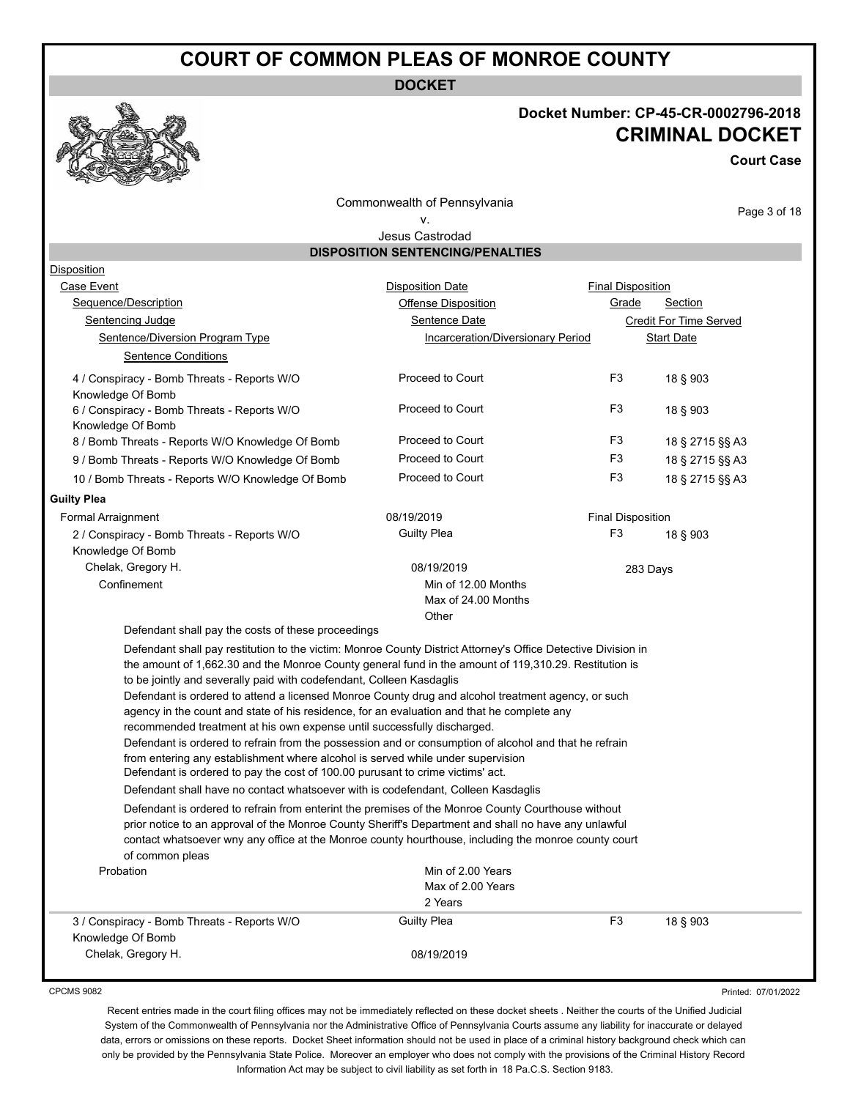**DOCKET**



#### **Docket Number: CP-45-CR-0002796-2018 CRIMINAL DOCKET**

**Court Case**

Commonwealth of Pennsylvania v.

Page 3 of 18

#### Jesus Castrodad **DISPOSITION SENTENCING/PENALTIES**

| Disposition                                                                                                                                                                                                                                                                                                                                                                                                                                                                                                                                                                                                                                                                                                                                                                                                                                                                                                                                                                                                                                                                                                                                                    |                                                     |                          |                               |
|----------------------------------------------------------------------------------------------------------------------------------------------------------------------------------------------------------------------------------------------------------------------------------------------------------------------------------------------------------------------------------------------------------------------------------------------------------------------------------------------------------------------------------------------------------------------------------------------------------------------------------------------------------------------------------------------------------------------------------------------------------------------------------------------------------------------------------------------------------------------------------------------------------------------------------------------------------------------------------------------------------------------------------------------------------------------------------------------------------------------------------------------------------------|-----------------------------------------------------|--------------------------|-------------------------------|
| Case Event                                                                                                                                                                                                                                                                                                                                                                                                                                                                                                                                                                                                                                                                                                                                                                                                                                                                                                                                                                                                                                                                                                                                                     | <b>Disposition Date</b>                             | <b>Final Disposition</b> |                               |
| Sequence/Description                                                                                                                                                                                                                                                                                                                                                                                                                                                                                                                                                                                                                                                                                                                                                                                                                                                                                                                                                                                                                                                                                                                                           | <b>Offense Disposition</b>                          | Grade                    | Section                       |
| <b>Sentencing Judge</b>                                                                                                                                                                                                                                                                                                                                                                                                                                                                                                                                                                                                                                                                                                                                                                                                                                                                                                                                                                                                                                                                                                                                        | <b>Sentence Date</b>                                |                          | <b>Credit For Time Served</b> |
| Sentence/Diversion Program Type                                                                                                                                                                                                                                                                                                                                                                                                                                                                                                                                                                                                                                                                                                                                                                                                                                                                                                                                                                                                                                                                                                                                | Incarceration/Diversionary Period                   |                          | <b>Start Date</b>             |
| <b>Sentence Conditions</b>                                                                                                                                                                                                                                                                                                                                                                                                                                                                                                                                                                                                                                                                                                                                                                                                                                                                                                                                                                                                                                                                                                                                     |                                                     |                          |                               |
| 4 / Conspiracy - Bomb Threats - Reports W/O<br>Knowledge Of Bomb                                                                                                                                                                                                                                                                                                                                                                                                                                                                                                                                                                                                                                                                                                                                                                                                                                                                                                                                                                                                                                                                                               | Proceed to Court                                    | F <sub>3</sub>           | 18 § 903                      |
| 6 / Conspiracy - Bomb Threats - Reports W/O<br>Knowledge Of Bomb                                                                                                                                                                                                                                                                                                                                                                                                                                                                                                                                                                                                                                                                                                                                                                                                                                                                                                                                                                                                                                                                                               | Proceed to Court                                    | F <sub>3</sub>           | 18 § 903                      |
| 8 / Bomb Threats - Reports W/O Knowledge Of Bomb                                                                                                                                                                                                                                                                                                                                                                                                                                                                                                                                                                                                                                                                                                                                                                                                                                                                                                                                                                                                                                                                                                               | Proceed to Court                                    | F <sub>3</sub>           | 18 § 2715 §§ A3               |
| 9 / Bomb Threats - Reports W/O Knowledge Of Bomb                                                                                                                                                                                                                                                                                                                                                                                                                                                                                                                                                                                                                                                                                                                                                                                                                                                                                                                                                                                                                                                                                                               | Proceed to Court                                    | F <sub>3</sub>           | 18 § 2715 §§ A3               |
| 10 / Bomb Threats - Reports W/O Knowledge Of Bomb                                                                                                                                                                                                                                                                                                                                                                                                                                                                                                                                                                                                                                                                                                                                                                                                                                                                                                                                                                                                                                                                                                              | Proceed to Court                                    | F <sub>3</sub>           | 18 § 2715 §§ A3               |
| <b>Guilty Plea</b>                                                                                                                                                                                                                                                                                                                                                                                                                                                                                                                                                                                                                                                                                                                                                                                                                                                                                                                                                                                                                                                                                                                                             |                                                     |                          |                               |
| Formal Arraignment                                                                                                                                                                                                                                                                                                                                                                                                                                                                                                                                                                                                                                                                                                                                                                                                                                                                                                                                                                                                                                                                                                                                             | 08/19/2019                                          | <b>Final Disposition</b> |                               |
| 2 / Conspiracy - Bomb Threats - Reports W/O<br>Knowledge Of Bomb                                                                                                                                                                                                                                                                                                                                                                                                                                                                                                                                                                                                                                                                                                                                                                                                                                                                                                                                                                                                                                                                                               | <b>Guilty Plea</b>                                  | F <sub>3</sub>           | 18 § 903                      |
| Chelak, Gregory H.                                                                                                                                                                                                                                                                                                                                                                                                                                                                                                                                                                                                                                                                                                                                                                                                                                                                                                                                                                                                                                                                                                                                             | 08/19/2019                                          |                          | 283 Days                      |
| Confinement                                                                                                                                                                                                                                                                                                                                                                                                                                                                                                                                                                                                                                                                                                                                                                                                                                                                                                                                                                                                                                                                                                                                                    | Min of 12.00 Months<br>Max of 24.00 Months<br>Other |                          |                               |
| Defendant shall pay the costs of these proceedings                                                                                                                                                                                                                                                                                                                                                                                                                                                                                                                                                                                                                                                                                                                                                                                                                                                                                                                                                                                                                                                                                                             |                                                     |                          |                               |
| Defendant shall pay restitution to the victim: Monroe County District Attorney's Office Detective Division in<br>the amount of 1,662.30 and the Monroe County general fund in the amount of 119,310.29. Restitution is<br>to be jointly and severally paid with codefendant, Colleen Kasdaglis<br>Defendant is ordered to attend a licensed Monroe County drug and alcohol treatment agency, or such<br>agency in the count and state of his residence, for an evaluation and that he complete any<br>recommended treatment at his own expense until successfully discharged.<br>Defendant is ordered to refrain from the possession and or consumption of alcohol and that he refrain<br>from entering any establishment where alcohol is served while under supervision<br>Defendant is ordered to pay the cost of 100.00 purusant to crime victims' act.<br>Defendant shall have no contact whatsoever with is codefendant, Colleen Kasdaglis<br>Defendant is ordered to refrain from enterint the premises of the Monroe County Courthouse without<br>prior notice to an approval of the Monroe County Sheriff's Department and shall no have any unlawful |                                                     |                          |                               |
| contact whatsoever wny any office at the Monroe county hourthouse, including the monroe county court<br>of common pleas                                                                                                                                                                                                                                                                                                                                                                                                                                                                                                                                                                                                                                                                                                                                                                                                                                                                                                                                                                                                                                        |                                                     |                          |                               |
| Probation                                                                                                                                                                                                                                                                                                                                                                                                                                                                                                                                                                                                                                                                                                                                                                                                                                                                                                                                                                                                                                                                                                                                                      | Min of 2.00 Years<br>Max of 2.00 Years<br>2 Years   |                          |                               |
| 3 / Conspiracy - Bomb Threats - Reports W/O<br>Knowledge Of Bomb                                                                                                                                                                                                                                                                                                                                                                                                                                                                                                                                                                                                                                                                                                                                                                                                                                                                                                                                                                                                                                                                                               | <b>Guilty Plea</b>                                  | F <sub>3</sub>           | 18 § 903                      |
| Chelak, Gregory H.                                                                                                                                                                                                                                                                                                                                                                                                                                                                                                                                                                                                                                                                                                                                                                                                                                                                                                                                                                                                                                                                                                                                             | 08/19/2019                                          |                          |                               |

CPCMS 9082

Printed: 07/01/2022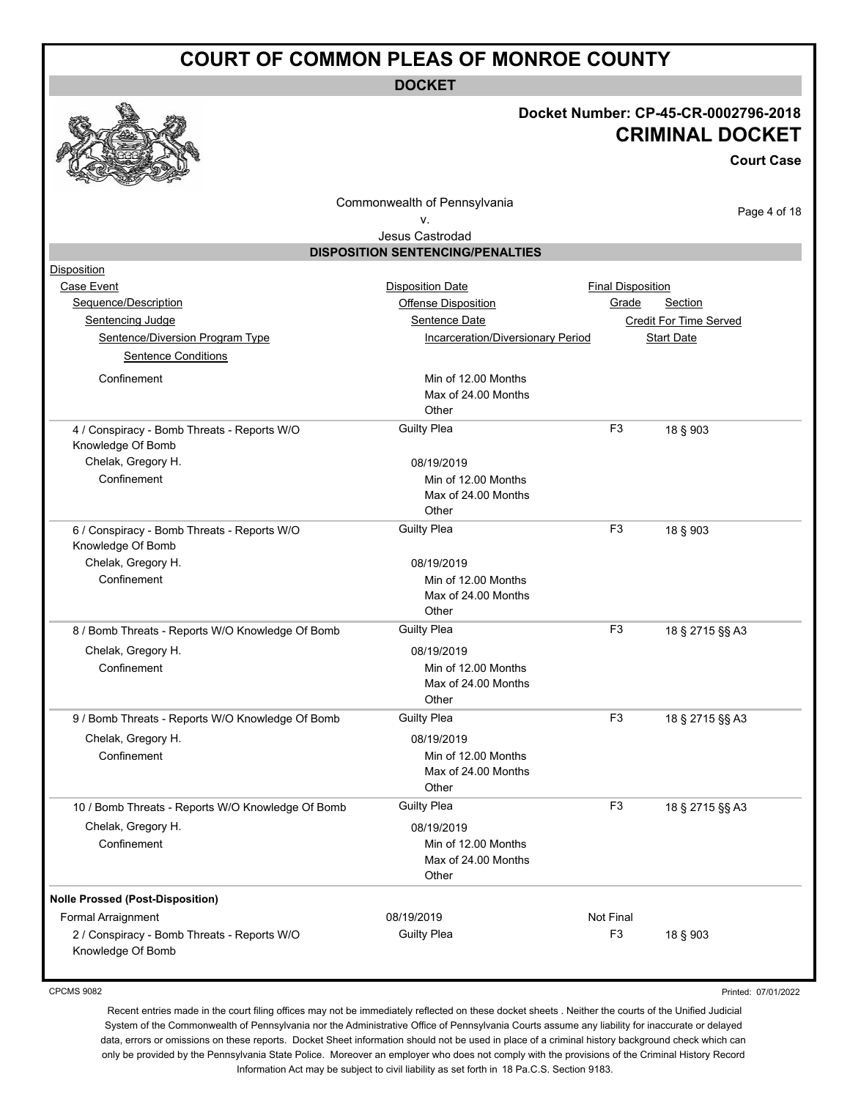**DOCKET**

#### **Docket Number: CP-45-CR-0002796-2018 CRIMINAL DOCKET**

**Court Case**

Commonwealth of Pennsylvania

#### v. Jesus Castrodad

Page 4 of 18

|                                                   | <b>DISPOSITION SENTENCING/PENALTIES</b> |                          |                               |
|---------------------------------------------------|-----------------------------------------|--------------------------|-------------------------------|
| <b>Disposition</b>                                |                                         |                          |                               |
| Case Event                                        | <b>Disposition Date</b>                 | <b>Final Disposition</b> |                               |
| Sequence/Description                              | Offense Disposition                     | Grade                    | Section                       |
| Sentencing Judge                                  | Sentence Date                           |                          | <b>Credit For Time Served</b> |
| Sentence/Diversion Program Type                   | Incarceration/Diversionary Period       |                          | <b>Start Date</b>             |
| <b>Sentence Conditions</b>                        |                                         |                          |                               |
| Confinement                                       | Min of 12.00 Months                     |                          |                               |
|                                                   | Max of 24.00 Months                     |                          |                               |
|                                                   | Other                                   |                          |                               |
| 4 / Conspiracy - Bomb Threats - Reports W/O       | <b>Guilty Plea</b>                      | F <sub>3</sub>           | 18 § 903                      |
| Knowledge Of Bomb                                 |                                         |                          |                               |
| Chelak, Gregory H.                                | 08/19/2019                              |                          |                               |
| Confinement                                       | Min of 12.00 Months                     |                          |                               |
|                                                   | Max of 24.00 Months                     |                          |                               |
|                                                   | Other                                   |                          |                               |
| 6 / Conspiracy - Bomb Threats - Reports W/O       | <b>Guilty Plea</b>                      | F <sub>3</sub>           | 18 § 903                      |
| Knowledge Of Bomb                                 |                                         |                          |                               |
| Chelak, Gregory H.                                | 08/19/2019                              |                          |                               |
| Confinement                                       | Min of 12.00 Months                     |                          |                               |
|                                                   | Max of 24.00 Months<br>Other            |                          |                               |
|                                                   | <b>Guilty Plea</b>                      | F <sub>3</sub>           |                               |
| 8 / Bomb Threats - Reports W/O Knowledge Of Bomb  |                                         |                          | 18 § 2715 §§ A3               |
| Chelak, Gregory H.                                | 08/19/2019                              |                          |                               |
| Confinement                                       | Min of 12.00 Months                     |                          |                               |
|                                                   | Max of 24.00 Months                     |                          |                               |
|                                                   | Other                                   |                          |                               |
| 9 / Bomb Threats - Reports W/O Knowledge Of Bomb  | <b>Guilty Plea</b>                      | F <sub>3</sub>           | 18 § 2715 §§ A3               |
| Chelak, Gregory H.                                | 08/19/2019                              |                          |                               |
| Confinement                                       | Min of 12.00 Months                     |                          |                               |
|                                                   | Max of 24.00 Months                     |                          |                               |
|                                                   | Other<br><b>Guilty Plea</b>             | F <sub>3</sub>           |                               |
| 10 / Bomb Threats - Reports W/O Knowledge Of Bomb |                                         |                          | 18 § 2715 §§ A3               |
| Chelak, Gregory H.                                | 08/19/2019                              |                          |                               |
| Confinement                                       | Min of 12.00 Months                     |                          |                               |
|                                                   | Max of 24.00 Months<br>Other            |                          |                               |
|                                                   |                                         |                          |                               |
| <b>Nolle Prossed (Post-Disposition)</b>           |                                         |                          |                               |
| Formal Arraignment                                | 08/19/2019                              | Not Final                |                               |
| 2 / Conspiracy - Bomb Threats - Reports W/O       | <b>Guilty Plea</b>                      | F <sub>3</sub>           | 18 § 903                      |

CPCMS 9082

Knowledge Of Bomb

Printed: 07/01/2022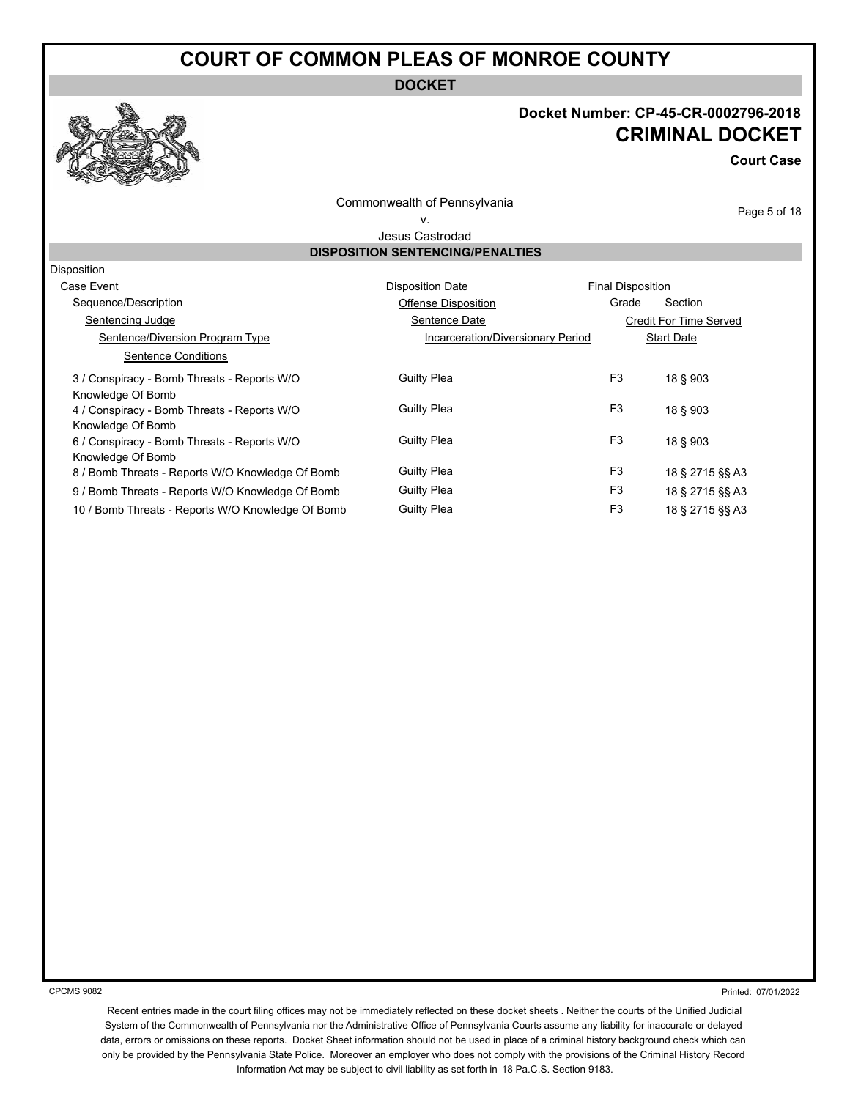**DOCKET**



#### **Docket Number: CP-45-CR-0002796-2018 CRIMINAL DOCKET**

**Court Case**

Commonwealth of Pennsylvania v.

Page 5 of 18

#### Jesus Castrodad **DISPOSITION SENTENCING/PENALTIES**

| Disposition                                       |                                   |                          |                        |
|---------------------------------------------------|-----------------------------------|--------------------------|------------------------|
| Case Event                                        | <b>Disposition Date</b>           | <b>Final Disposition</b> |                        |
| Sequence/Description                              | Offense Disposition               | Grade                    | Section                |
| Sentencing Judge                                  | Sentence Date                     |                          | Credit For Time Served |
| Sentence/Diversion Program Type                   | Incarceration/Diversionary Period |                          | <b>Start Date</b>      |
| <b>Sentence Conditions</b>                        |                                   |                          |                        |
| 3 / Conspiracy - Bomb Threats - Reports W/O       | <b>Guilty Plea</b>                | F <sub>3</sub>           | 18 § 903               |
| Knowledge Of Bomb                                 |                                   |                          |                        |
| 4 / Conspiracy - Bomb Threats - Reports W/O       | <b>Guilty Plea</b>                | F <sub>3</sub>           | 18 § 903               |
| Knowledge Of Bomb                                 |                                   |                          |                        |
| 6 / Conspiracy - Bomb Threats - Reports W/O       | <b>Guilty Plea</b>                | F <sub>3</sub>           | 18 § 903               |
| Knowledge Of Bomb                                 |                                   |                          |                        |
| 8 / Bomb Threats - Reports W/O Knowledge Of Bomb  | <b>Guilty Plea</b>                | F <sub>3</sub>           | 18 § 2715 §§ A3        |
| 9 / Bomb Threats - Reports W/O Knowledge Of Bomb  | <b>Guilty Plea</b>                | F <sub>3</sub>           | 18 § 2715 §§ A3        |
| 10 / Bomb Threats - Reports W/O Knowledge Of Bomb | <b>Guilty Plea</b>                | F <sub>3</sub>           | 18 § 2715 §§ A3        |

CPCMS 9082

Printed: 07/01/2022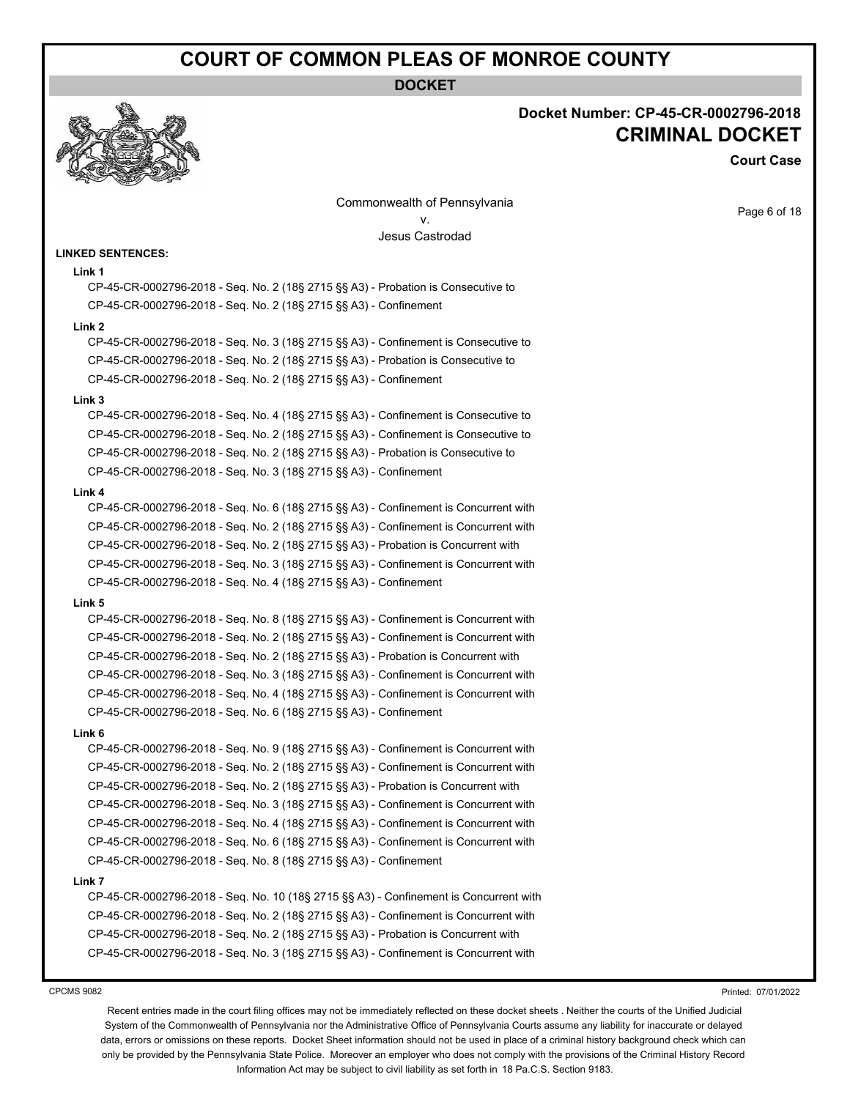#### **DOCKET**



#### **Docket Number: CP-45-CR-0002796-2018 CRIMINAL DOCKET**

**Court Case**

Page 6 of 18

Commonwealth of Pennsylvania v. Jesus Castrodad

#### **LINKED SENTENCES:**

#### **Link 1**

CP-45-CR-0002796-2018 - Seq. No. 2 (18§ 2715 §§ A3) - Probation is Consecutive to CP-45-CR-0002796-2018 - Seq. No. 2 (18§ 2715 §§ A3) - Confinement

#### **Link 2**

CP-45-CR-0002796-2018 - Seq. No. 3 (18§ 2715 §§ A3) - Confinement is Consecutive to CP-45-CR-0002796-2018 - Seq. No. 2 (18§ 2715 §§ A3) - Probation is Consecutive to CP-45-CR-0002796-2018 - Seq. No. 2 (18§ 2715 §§ A3) - Confinement

#### **Link 3**

CP-45-CR-0002796-2018 - Seq. No. 4 (18§ 2715 §§ A3) - Confinement is Consecutive to CP-45-CR-0002796-2018 - Seq. No. 2 (18§ 2715 §§ A3) - Confinement is Consecutive to CP-45-CR-0002796-2018 - Seq. No. 2 (18§ 2715 §§ A3) - Probation is Consecutive to CP-45-CR-0002796-2018 - Seq. No. 3 (18§ 2715 §§ A3) - Confinement

#### **Link 4**

CP-45-CR-0002796-2018 - Seq. No. 6 (18§ 2715 §§ A3) - Confinement is Concurrent with CP-45-CR-0002796-2018 - Seq. No. 2 (18§ 2715 §§ A3) - Confinement is Concurrent with CP-45-CR-0002796-2018 - Seq. No. 2 (18§ 2715 §§ A3) - Probation is Concurrent with CP-45-CR-0002796-2018 - Seq. No. 3 (18§ 2715 §§ A3) - Confinement is Concurrent with CP-45-CR-0002796-2018 - Seq. No. 4 (18§ 2715 §§ A3) - Confinement

#### **Link 5**

CP-45-CR-0002796-2018 - Seq. No. 8 (18§ 2715 §§ A3) - Confinement is Concurrent with CP-45-CR-0002796-2018 - Seq. No. 2 (18§ 2715 §§ A3) - Confinement is Concurrent with CP-45-CR-0002796-2018 - Seq. No. 2 (18§ 2715 §§ A3) - Probation is Concurrent with CP-45-CR-0002796-2018 - Seq. No. 3 (18§ 2715 §§ A3) - Confinement is Concurrent with CP-45-CR-0002796-2018 - Seq. No. 4 (18§ 2715 §§ A3) - Confinement is Concurrent with CP-45-CR-0002796-2018 - Seq. No. 6 (18§ 2715 §§ A3) - Confinement

#### **Link 6**

CP-45-CR-0002796-2018 - Seq. No. 9 (18§ 2715 §§ A3) - Confinement is Concurrent with CP-45-CR-0002796-2018 - Seq. No. 2 (18§ 2715 §§ A3) - Confinement is Concurrent with CP-45-CR-0002796-2018 - Seq. No. 2 (18§ 2715 §§ A3) - Probation is Concurrent with CP-45-CR-0002796-2018 - Seq. No. 3 (18§ 2715 §§ A3) - Confinement is Concurrent with CP-45-CR-0002796-2018 - Seq. No. 4 (18§ 2715 §§ A3) - Confinement is Concurrent with CP-45-CR-0002796-2018 - Seq. No. 6 (18§ 2715 §§ A3) - Confinement is Concurrent with CP-45-CR-0002796-2018 - Seq. No. 8 (18§ 2715 §§ A3) - Confinement

#### **Link 7**

CP-45-CR-0002796-2018 - Seq. No. 10 (18§ 2715 §§ A3) - Confinement is Concurrent with CP-45-CR-0002796-2018 - Seq. No. 2 (18§ 2715 §§ A3) - Confinement is Concurrent with CP-45-CR-0002796-2018 - Seq. No. 2 (18§ 2715 §§ A3) - Probation is Concurrent with CP-45-CR-0002796-2018 - Seq. No. 3 (18§ 2715 §§ A3) - Confinement is Concurrent with

CPCMS 9082

Printed: 07/01/2022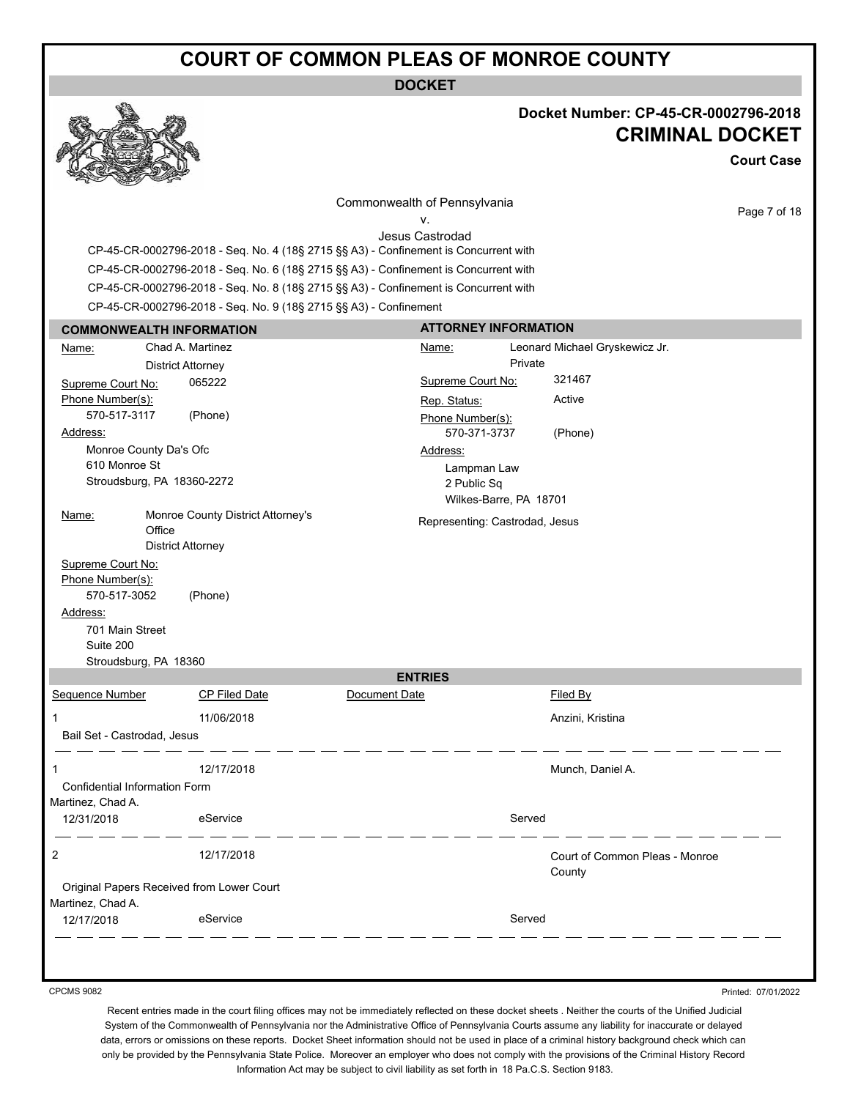**DOCKET**



#### **Docket Number: CP-45-CR-0002796-2018 CRIMINAL DOCKET**

**Court Case**

Page 7 of 18

Commonwealth of Pennsylvania

v. Jesus Castrodad

CP-45-CR-0002796-2018 - Seq. No. 4 (18§ 2715 §§ A3) - Confinement is Concurrent with CP-45-CR-0002796-2018 - Seq. No. 6 (18§ 2715 §§ A3) - Confinement is Concurrent with CP-45-CR-0002796-2018 - Seq. No. 8 (18§ 2715 §§ A3) - Confinement is Concurrent with CP-45-CR-0002796-2018 - Seq. No. 9 (18§ 2715 §§ A3) - Confinement

| <b>COMMONWEALTH INFORMATION</b>       |                            |                                           | <b>ATTORNEY INFORMATION</b> |                                       |         |                                          |
|---------------------------------------|----------------------------|-------------------------------------------|-----------------------------|---------------------------------------|---------|------------------------------------------|
| Name:                                 |                            | Chad A. Martinez                          |                             | Name:                                 |         | Leonard Michael Gryskewicz Jr.           |
|                                       |                            | <b>District Attorney</b>                  |                             |                                       | Private |                                          |
| Supreme Court No:                     |                            | 065222                                    |                             | Supreme Court No:                     |         | 321467                                   |
| Phone Number(s):                      |                            |                                           |                             | Rep. Status:                          |         | Active                                   |
| 570-517-3117                          |                            | (Phone)                                   |                             | Phone Number(s):                      |         |                                          |
| Address:                              |                            |                                           |                             | 570-371-3737                          |         | (Phone)                                  |
|                                       | Monroe County Da's Ofc     |                                           |                             | Address:                              |         |                                          |
| 610 Monroe St                         |                            |                                           |                             | Lampman Law                           |         |                                          |
|                                       | Stroudsburg, PA 18360-2272 |                                           |                             | 2 Public Sq<br>Wilkes-Barre, PA 18701 |         |                                          |
| Name:                                 | Office                     | Monroe County District Attorney's         |                             | Representing: Castrodad, Jesus        |         |                                          |
|                                       |                            | <b>District Attorney</b>                  |                             |                                       |         |                                          |
| Supreme Court No:<br>Phone Number(s): |                            |                                           |                             |                                       |         |                                          |
| 570-517-3052                          |                            | (Phone)                                   |                             |                                       |         |                                          |
| Address:                              |                            |                                           |                             |                                       |         |                                          |
|                                       | 701 Main Street            |                                           |                             |                                       |         |                                          |
| Suite 200                             |                            |                                           |                             |                                       |         |                                          |
|                                       | Stroudsburg, PA 18360      |                                           |                             |                                       |         |                                          |
|                                       |                            |                                           |                             | <b>ENTRIES</b>                        |         |                                          |
| Sequence Number                       |                            | CP Filed Date                             | Document Date               |                                       |         | Filed By                                 |
| 1                                     |                            | 11/06/2018                                |                             |                                       |         | Anzini, Kristina                         |
| Bail Set - Castrodad, Jesus           |                            |                                           |                             |                                       |         |                                          |
| 1                                     |                            | 12/17/2018                                |                             |                                       |         | Munch, Daniel A.                         |
| Confidential Information Form         |                            |                                           |                             |                                       |         |                                          |
| Martinez, Chad A.                     |                            |                                           |                             |                                       |         |                                          |
| 12/31/2018                            |                            | eService                                  |                             |                                       | Served  |                                          |
| 2                                     |                            | 12/17/2018                                |                             |                                       |         | Court of Common Pleas - Monroe<br>County |
| Martinez, Chad A.                     |                            | Original Papers Received from Lower Court |                             |                                       |         |                                          |
| 12/17/2018                            |                            | eService                                  |                             |                                       | Served  |                                          |
|                                       |                            |                                           |                             |                                       |         |                                          |

CPCMS 9082

Printed: 07/01/2022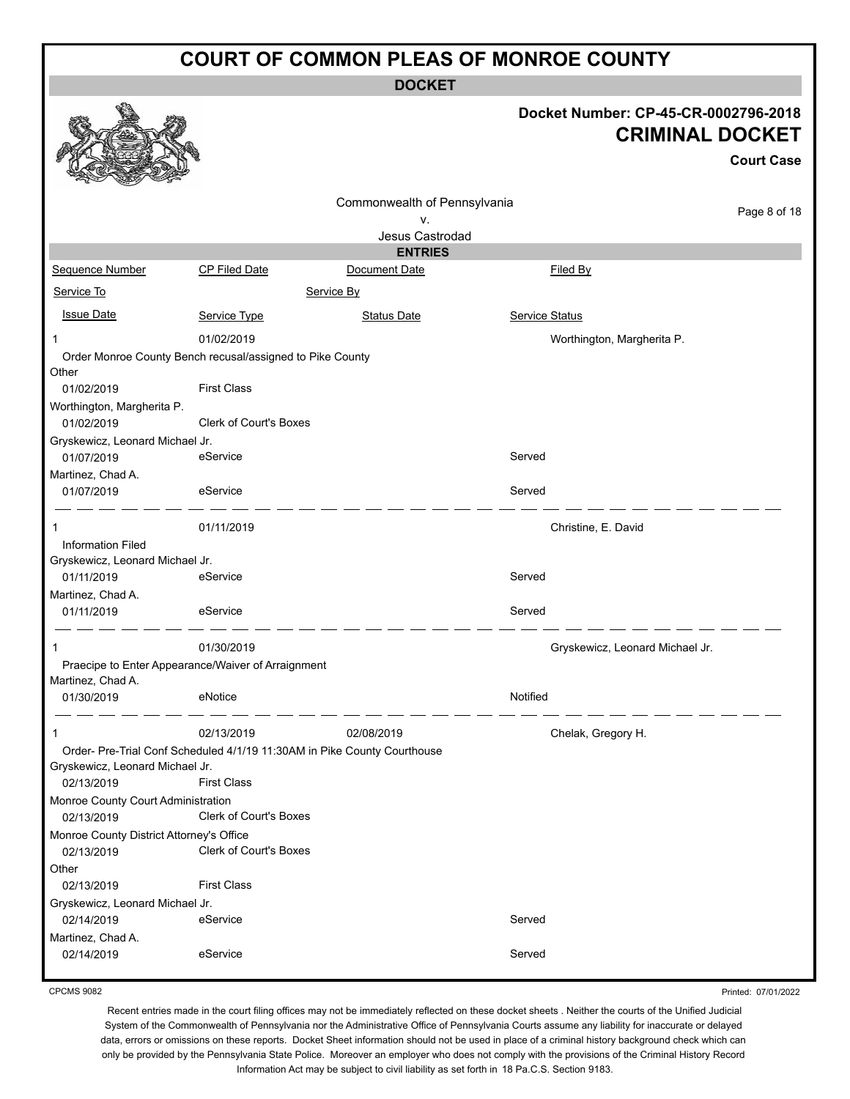**DOCKET**

#### **Docket Number: CP-45-CR-0002796-2018 CRIMINAL DOCKET**

**Court Case**

|                                                                    |                               |                                                                          |                |                                 | ourt oud     |
|--------------------------------------------------------------------|-------------------------------|--------------------------------------------------------------------------|----------------|---------------------------------|--------------|
|                                                                    |                               | Commonwealth of Pennsylvania                                             |                |                                 |              |
|                                                                    |                               | ٧.                                                                       |                |                                 | Page 8 of 18 |
|                                                                    |                               | Jesus Castrodad                                                          |                |                                 |              |
|                                                                    |                               | <b>ENTRIES</b>                                                           |                |                                 |              |
| Sequence Number                                                    | CP Filed Date                 | Document Date                                                            |                | Filed By                        |              |
| Service To                                                         |                               | Service By                                                               |                |                                 |              |
| <b>Issue Date</b>                                                  | Service Type                  | <b>Status Date</b>                                                       | Service Status |                                 |              |
| 1                                                                  | 01/02/2019                    |                                                                          |                | Worthington, Margherita P.      |              |
| Order Monroe County Bench recusal/assigned to Pike County<br>Other |                               |                                                                          |                |                                 |              |
| 01/02/2019                                                         | <b>First Class</b>            |                                                                          |                |                                 |              |
| Worthington, Margherita P.                                         |                               |                                                                          |                |                                 |              |
| 01/02/2019                                                         | <b>Clerk of Court's Boxes</b> |                                                                          |                |                                 |              |
| Gryskewicz, Leonard Michael Jr.                                    |                               |                                                                          |                |                                 |              |
| 01/07/2019                                                         | eService                      |                                                                          | Served         |                                 |              |
| Martinez, Chad A.                                                  |                               |                                                                          |                |                                 |              |
| 01/07/2019                                                         | eService                      |                                                                          | Served         |                                 |              |
| 1                                                                  | 01/11/2019                    |                                                                          |                | Christine, E. David             |              |
| <b>Information Filed</b>                                           |                               |                                                                          |                |                                 |              |
| Gryskewicz, Leonard Michael Jr.                                    |                               |                                                                          |                |                                 |              |
| 01/11/2019                                                         | eService                      |                                                                          | Served         |                                 |              |
| Martinez, Chad A.                                                  |                               |                                                                          |                |                                 |              |
| 01/11/2019                                                         | eService                      |                                                                          | Served         |                                 |              |
| 1                                                                  | 01/30/2019                    |                                                                          |                | Gryskewicz, Leonard Michael Jr. |              |
| Praecipe to Enter Appearance/Waiver of Arraignment                 |                               |                                                                          |                |                                 |              |
| Martinez, Chad A.                                                  |                               |                                                                          |                |                                 |              |
| 01/30/2019                                                         | eNotice                       |                                                                          | Notified       |                                 |              |
| 1                                                                  | 02/13/2019                    | 02/08/2019                                                               |                | Chelak, Gregory H.              |              |
|                                                                    |                               | Order- Pre-Trial Conf Scheduled 4/1/19 11:30AM in Pike County Courthouse |                |                                 |              |
| Gryskewicz, Leonard Michael Jr.<br>02/13/2019                      | <b>First Class</b>            |                                                                          |                |                                 |              |
| Monroe County Court Administration<br>02/13/2019                   | Clerk of Court's Boxes        |                                                                          |                |                                 |              |
| Monroe County District Attorney's Office                           |                               |                                                                          |                |                                 |              |
| 02/13/2019                                                         | Clerk of Court's Boxes        |                                                                          |                |                                 |              |
| Other                                                              |                               |                                                                          |                |                                 |              |
| 02/13/2019                                                         | <b>First Class</b>            |                                                                          |                |                                 |              |
| Gryskewicz, Leonard Michael Jr.                                    |                               |                                                                          |                |                                 |              |
| 02/14/2019                                                         | eService                      |                                                                          | Served         |                                 |              |
| Martinez, Chad A.                                                  |                               |                                                                          |                |                                 |              |
| 02/14/2019                                                         | eService                      |                                                                          | Served         |                                 |              |

CPCMS 9082

Printed: 07/01/2022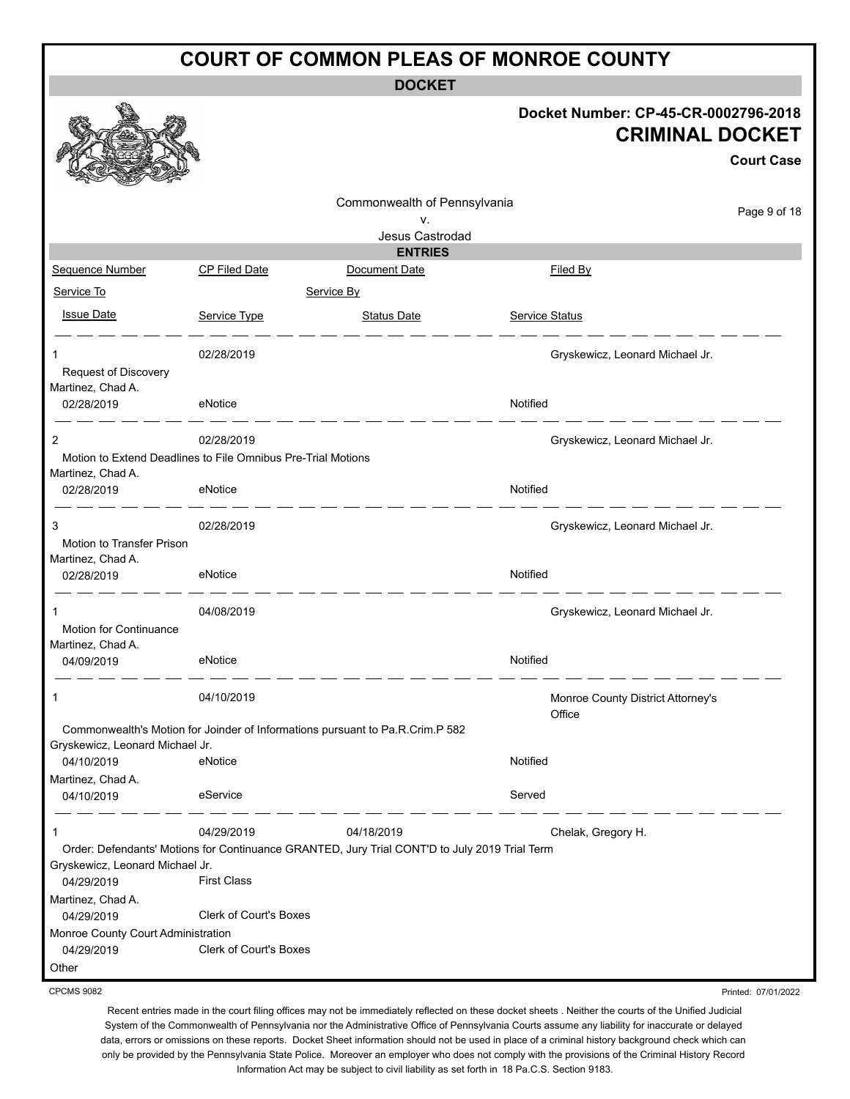**DOCKET**

|                                                                                                     |                               | <b>DOCKEI</b>                                                                                 |                                                                                     |  |
|-----------------------------------------------------------------------------------------------------|-------------------------------|-----------------------------------------------------------------------------------------------|-------------------------------------------------------------------------------------|--|
|                                                                                                     |                               |                                                                                               | Docket Number: CP-45-CR-0002796-2018<br><b>CRIMINAL DOCKET</b><br><b>Court Case</b> |  |
|                                                                                                     |                               | Commonwealth of Pennsylvania                                                                  |                                                                                     |  |
|                                                                                                     |                               | v.                                                                                            | Page 9 of 18                                                                        |  |
|                                                                                                     |                               | Jesus Castrodad                                                                               |                                                                                     |  |
|                                                                                                     |                               | <b>ENTRIES</b>                                                                                |                                                                                     |  |
| Sequence Number                                                                                     | <b>CP Filed Date</b>          | Document Date                                                                                 | <b>Filed By</b>                                                                     |  |
| Service To                                                                                          |                               | Service By                                                                                    |                                                                                     |  |
| <b>Issue Date</b>                                                                                   | Service Type                  | <b>Status Date</b>                                                                            | Service Status                                                                      |  |
| 1<br>Request of Discovery<br>Martinez, Chad A.                                                      | 02/28/2019                    |                                                                                               | Gryskewicz, Leonard Michael Jr.                                                     |  |
| 02/28/2019                                                                                          | eNotice                       |                                                                                               | Notified                                                                            |  |
| $\overline{2}$<br>Motion to Extend Deadlines to File Omnibus Pre-Trial Motions<br>Martinez, Chad A. | 02/28/2019                    |                                                                                               | Gryskewicz, Leonard Michael Jr.                                                     |  |
| 02/28/2019                                                                                          | eNotice                       |                                                                                               | Notified                                                                            |  |
| 3<br>Motion to Transfer Prison<br>Martinez, Chad A.                                                 | 02/28/2019                    |                                                                                               | Gryskewicz, Leonard Michael Jr.                                                     |  |
| 02/28/2019                                                                                          | eNotice                       |                                                                                               | Notified                                                                            |  |
| <b>Motion for Continuance</b><br>Martinez, Chad A.<br>04/09/2019                                    | 04/08/2019<br>eNotice         |                                                                                               | Gryskewicz, Leonard Michael Jr.<br>Notified                                         |  |
| 1                                                                                                   | 04/10/2019                    |                                                                                               | Monroe County District Attorney's<br>Office                                         |  |
|                                                                                                     |                               | Commonwealth's Motion for Joinder of Informations pursuant to Pa.R.Crim.P 582                 |                                                                                     |  |
| Gryskewicz, Leonard Michael Jr.<br>04/10/2019                                                       | eNotice                       |                                                                                               | Notified                                                                            |  |
| Martinez, Chad A.<br>04/10/2019                                                                     | eService                      |                                                                                               | Served                                                                              |  |
| 1                                                                                                   | 04/29/2019                    | 04/18/2019                                                                                    | Chelak, Gregory H.                                                                  |  |
| Gryskewicz, Leonard Michael Jr.<br>04/29/2019                                                       | <b>First Class</b>            | Order: Defendants' Motions for Continuance GRANTED, Jury Trial CONT'D to July 2019 Trial Term |                                                                                     |  |
| Martinez, Chad A.                                                                                   |                               |                                                                                               |                                                                                     |  |
| 04/29/2019                                                                                          | <b>Clerk of Court's Boxes</b> |                                                                                               |                                                                                     |  |
| Monroe County Court Administration<br>04/29/2019                                                    | <b>Clerk of Court's Boxes</b> |                                                                                               |                                                                                     |  |
| Other                                                                                               |                               |                                                                                               |                                                                                     |  |
| <b>CPCMS 9082</b>                                                                                   |                               |                                                                                               | Printed: 07/01/2022                                                                 |  |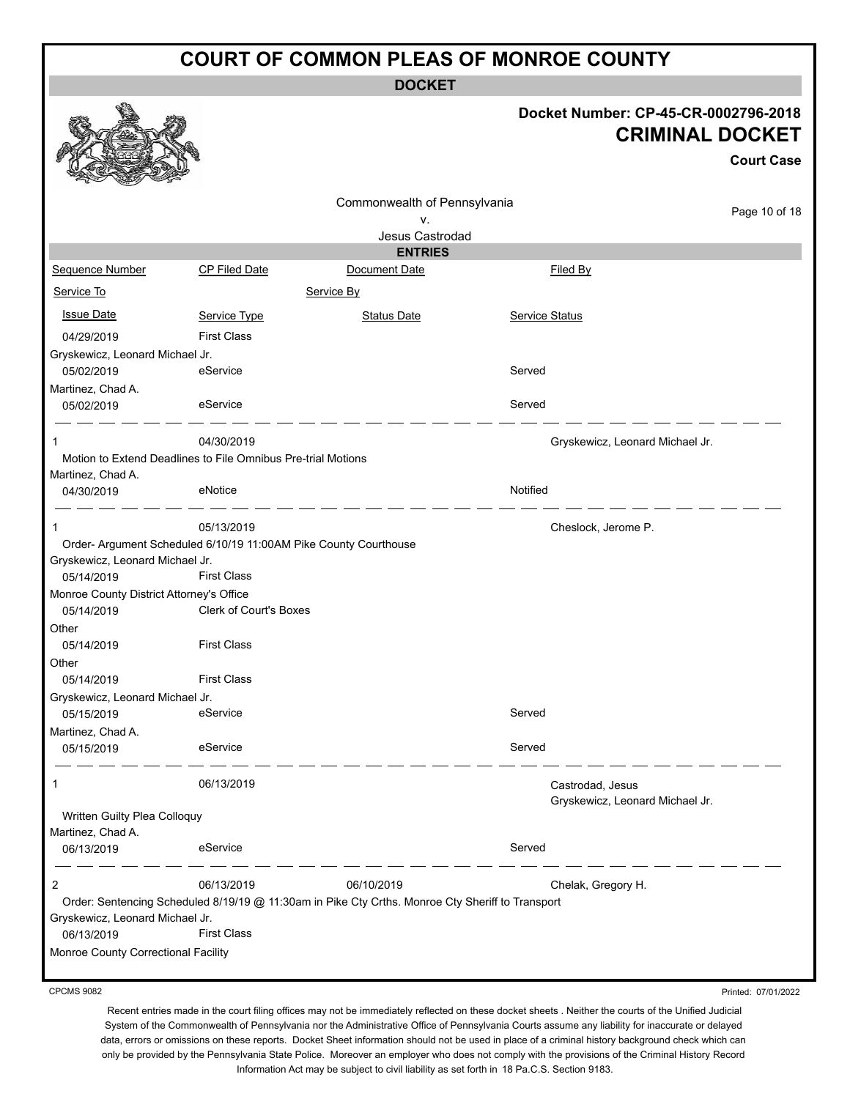**DOCKET**

#### **Docket Number: CP-45-CR-0002796-2018 CRIMINAL DOCKET**

Printed: 07/01/2022

|                                                                  |                               |                                                                                                  |          |                                 | <b>Court Case</b> |
|------------------------------------------------------------------|-------------------------------|--------------------------------------------------------------------------------------------------|----------|---------------------------------|-------------------|
|                                                                  |                               | Commonwealth of Pennsylvania                                                                     |          |                                 |                   |
|                                                                  |                               | ٧.                                                                                               |          |                                 | Page 10 of 18     |
|                                                                  |                               | Jesus Castrodad                                                                                  |          |                                 |                   |
|                                                                  |                               | <b>ENTRIES</b>                                                                                   |          |                                 |                   |
| <b>Sequence Number</b>                                           | <b>CP Filed Date</b>          | Document Date                                                                                    |          | Filed By                        |                   |
| Service To                                                       |                               | Service By                                                                                       |          |                                 |                   |
| <b>Issue Date</b>                                                | Service Type                  | <b>Status Date</b>                                                                               |          | Service Status                  |                   |
| 04/29/2019                                                       | <b>First Class</b>            |                                                                                                  |          |                                 |                   |
| Gryskewicz, Leonard Michael Jr.                                  |                               |                                                                                                  |          |                                 |                   |
| 05/02/2019                                                       | eService                      |                                                                                                  | Served   |                                 |                   |
| Martinez, Chad A.<br>05/02/2019                                  | eService                      |                                                                                                  | Served   |                                 |                   |
|                                                                  |                               |                                                                                                  |          |                                 |                   |
|                                                                  | 04/30/2019                    |                                                                                                  |          | Gryskewicz, Leonard Michael Jr. |                   |
| Motion to Extend Deadlines to File Omnibus Pre-trial Motions     |                               |                                                                                                  |          |                                 |                   |
| Martinez, Chad A.<br>04/30/2019                                  | eNotice                       |                                                                                                  | Notified |                                 |                   |
| 1                                                                | 05/13/2019                    |                                                                                                  |          | Cheslock, Jerome P.             |                   |
| Order- Argument Scheduled 6/10/19 11:00AM Pike County Courthouse |                               |                                                                                                  |          |                                 |                   |
| Gryskewicz, Leonard Michael Jr.                                  |                               |                                                                                                  |          |                                 |                   |
| 05/14/2019                                                       | <b>First Class</b>            |                                                                                                  |          |                                 |                   |
| Monroe County District Attorney's Office                         |                               |                                                                                                  |          |                                 |                   |
| 05/14/2019                                                       | <b>Clerk of Court's Boxes</b> |                                                                                                  |          |                                 |                   |
| Other<br>05/14/2019                                              | <b>First Class</b>            |                                                                                                  |          |                                 |                   |
| Other                                                            |                               |                                                                                                  |          |                                 |                   |
| 05/14/2019                                                       | <b>First Class</b>            |                                                                                                  |          |                                 |                   |
| Gryskewicz, Leonard Michael Jr.                                  |                               |                                                                                                  |          |                                 |                   |
| 05/15/2019                                                       | eService                      |                                                                                                  | Served   |                                 |                   |
| Martinez, Chad A.                                                |                               |                                                                                                  |          |                                 |                   |
| 05/15/2019                                                       | eService                      |                                                                                                  | Served   |                                 |                   |
| 1                                                                | 06/13/2019                    |                                                                                                  |          | Castrodad, Jesus                |                   |
| Written Guilty Plea Colloquy                                     |                               |                                                                                                  |          | Gryskewicz, Leonard Michael Jr. |                   |
| Martinez, Chad A.                                                |                               |                                                                                                  |          |                                 |                   |
| 06/13/2019                                                       | eService                      |                                                                                                  | Served   |                                 |                   |
| 2                                                                | 06/13/2019                    | 06/10/2019                                                                                       |          | Chelak, Gregory H.              |                   |
|                                                                  |                               | Order: Sentencing Scheduled 8/19/19 @ 11:30am in Pike Cty Crths. Monroe Cty Sheriff to Transport |          |                                 |                   |
| Gryskewicz, Leonard Michael Jr.                                  |                               |                                                                                                  |          |                                 |                   |
| 06/13/2019                                                       | <b>First Class</b>            |                                                                                                  |          |                                 |                   |
| Monroe County Correctional Facility                              |                               |                                                                                                  |          |                                 |                   |

CPCMS 9082

 $\bigotimes_{\sigma}$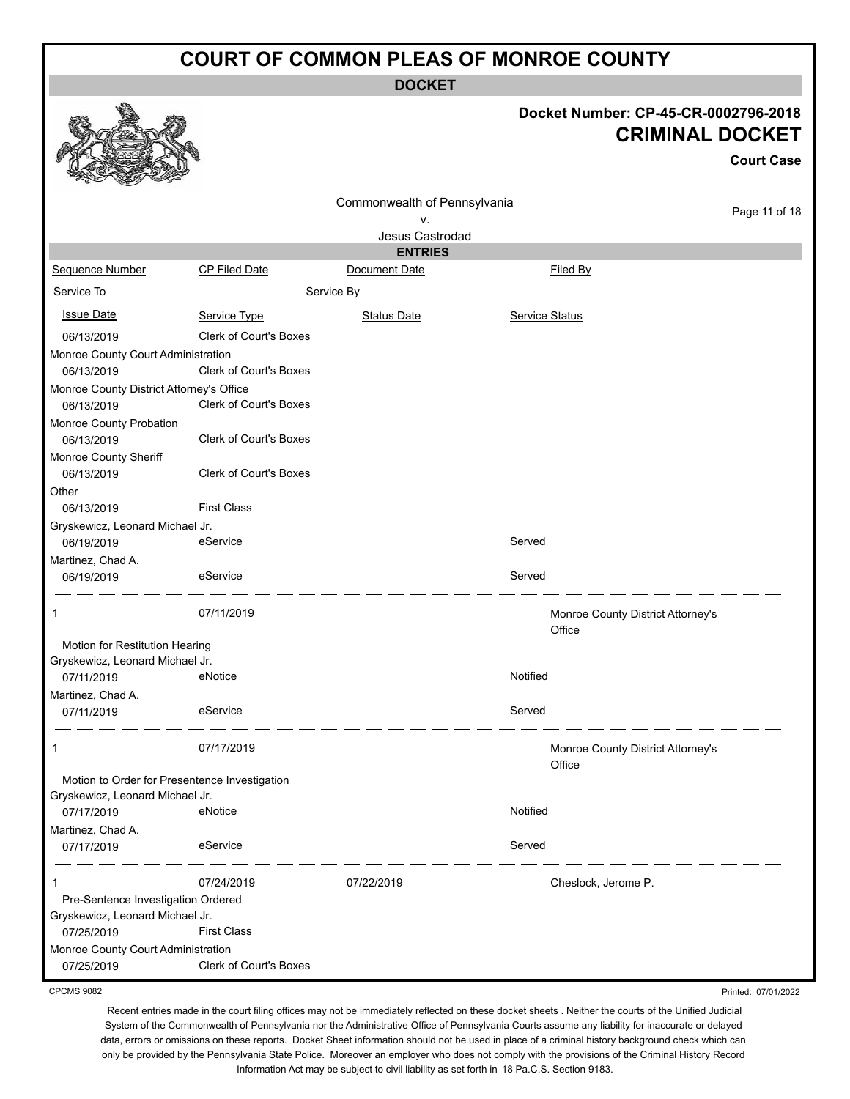**DOCKET**

#### **Docket Number: CP-45-CR-0002796-2018 CRIMINAL DOCKET**

Printed: 07/01/2022

|                                               |                               |                              |                       |                                             | <b>Court Case</b> |
|-----------------------------------------------|-------------------------------|------------------------------|-----------------------|---------------------------------------------|-------------------|
|                                               |                               | Commonwealth of Pennsylvania |                       |                                             |                   |
|                                               |                               | ۷.                           |                       |                                             | Page 11 of 18     |
|                                               |                               | Jesus Castrodad              |                       |                                             |                   |
|                                               |                               | <b>ENTRIES</b>               |                       |                                             |                   |
| Sequence Number                               | <b>CP Filed Date</b>          | Document Date                |                       | Filed By                                    |                   |
| Service To                                    |                               | Service By                   |                       |                                             |                   |
| <b>Issue Date</b>                             | Service Type                  | <b>Status Date</b>           | <b>Service Status</b> |                                             |                   |
| 06/13/2019                                    | Clerk of Court's Boxes        |                              |                       |                                             |                   |
| Monroe County Court Administration            |                               |                              |                       |                                             |                   |
| 06/13/2019                                    | Clerk of Court's Boxes        |                              |                       |                                             |                   |
| Monroe County District Attorney's Office      |                               |                              |                       |                                             |                   |
| 06/13/2019                                    | Clerk of Court's Boxes        |                              |                       |                                             |                   |
| Monroe County Probation<br>06/13/2019         | Clerk of Court's Boxes        |                              |                       |                                             |                   |
| Monroe County Sheriff<br>06/13/2019           | <b>Clerk of Court's Boxes</b> |                              |                       |                                             |                   |
| Other                                         |                               |                              |                       |                                             |                   |
| 06/13/2019                                    | <b>First Class</b>            |                              |                       |                                             |                   |
| Gryskewicz, Leonard Michael Jr.               |                               |                              |                       |                                             |                   |
| 06/19/2019                                    | eService                      |                              | Served                |                                             |                   |
| Martinez, Chad A.                             |                               |                              |                       |                                             |                   |
| 06/19/2019                                    | eService                      |                              | Served                |                                             |                   |
| 1                                             | 07/11/2019                    |                              |                       | Monroe County District Attorney's<br>Office |                   |
| Motion for Restitution Hearing                |                               |                              |                       |                                             |                   |
| Gryskewicz, Leonard Michael Jr.               |                               |                              |                       |                                             |                   |
| 07/11/2019                                    | eNotice                       |                              | Notified              |                                             |                   |
| Martinez, Chad A.                             |                               |                              |                       |                                             |                   |
| 07/11/2019                                    | eService                      |                              | Served                |                                             |                   |
| 1                                             | 07/17/2019                    |                              |                       | Monroe County District Attorney's<br>Office |                   |
| Motion to Order for Presentence Investigation |                               |                              |                       |                                             |                   |
| Gryskewicz, Leonard Michael Jr.               |                               |                              |                       |                                             |                   |
| 07/17/2019                                    | eNotice                       |                              | Notified              |                                             |                   |
| Martinez, Chad A.                             |                               |                              |                       |                                             |                   |
| 07/17/2019                                    | eService                      |                              | Served                |                                             |                   |
| 1                                             | 07/24/2019                    | 07/22/2019                   |                       | Cheslock, Jerome P.                         |                   |
| Pre-Sentence Investigation Ordered            |                               |                              |                       |                                             |                   |
| Gryskewicz, Leonard Michael Jr.               |                               |                              |                       |                                             |                   |
| 07/25/2019                                    | <b>First Class</b>            |                              |                       |                                             |                   |
| Monroe County Court Administration            |                               |                              |                       |                                             |                   |
| 07/25/2019                                    | Clerk of Court's Boxes        |                              |                       |                                             |                   |

CPCMS 9082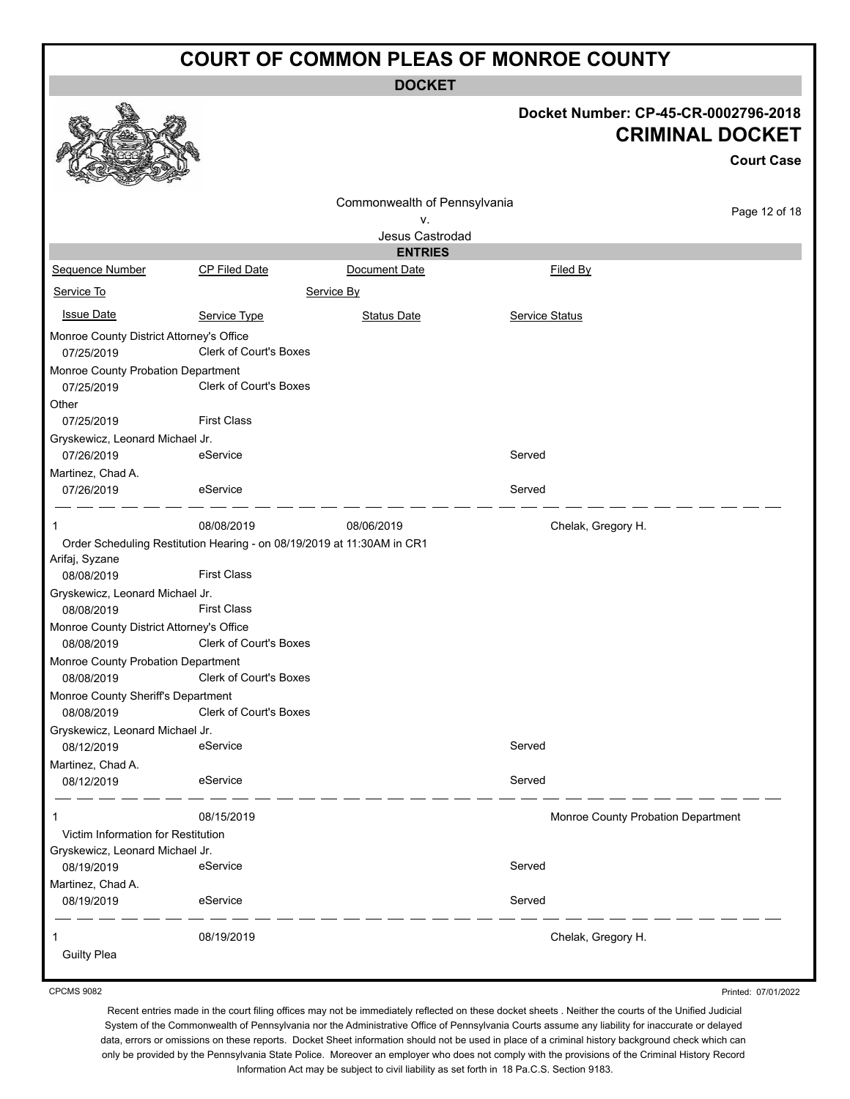**DOCKET**

| Docket Number: CP-45-CR-0002796-2018 |
|--------------------------------------|
| <b>CRIMINAL DOCKET</b>               |

**Court Case**

|                                          |                                                                        |                              |                | <b>Court Case</b>                  |
|------------------------------------------|------------------------------------------------------------------------|------------------------------|----------------|------------------------------------|
|                                          |                                                                        | Commonwealth of Pennsylvania |                | Page 12 of 18                      |
|                                          |                                                                        | ٧.                           |                |                                    |
|                                          |                                                                        | Jesus Castrodad              |                |                                    |
|                                          |                                                                        | <b>ENTRIES</b>               |                |                                    |
| Sequence Number                          | CP Filed Date                                                          | Document Date                | Filed By       |                                    |
| Service To                               |                                                                        | Service By                   |                |                                    |
| <b>Issue Date</b>                        | Service Type                                                           | <b>Status Date</b>           | Service Status |                                    |
| Monroe County District Attorney's Office |                                                                        |                              |                |                                    |
| 07/25/2019                               | Clerk of Court's Boxes                                                 |                              |                |                                    |
| Monroe County Probation Department       |                                                                        |                              |                |                                    |
| 07/25/2019                               | Clerk of Court's Boxes                                                 |                              |                |                                    |
| Other                                    |                                                                        |                              |                |                                    |
| 07/25/2019                               | <b>First Class</b>                                                     |                              |                |                                    |
| Gryskewicz, Leonard Michael Jr.          |                                                                        |                              |                |                                    |
| 07/26/2019                               | eService                                                               |                              | Served         |                                    |
| Martinez, Chad A.                        |                                                                        |                              |                |                                    |
| 07/26/2019                               | eService                                                               |                              | Served         |                                    |
| 1                                        | 08/08/2019                                                             | 08/06/2019                   |                | Chelak, Gregory H.                 |
|                                          | Order Scheduling Restitution Hearing - on 08/19/2019 at 11:30AM in CR1 |                              |                |                                    |
| Arifaj, Syzane                           |                                                                        |                              |                |                                    |
| 08/08/2019                               | <b>First Class</b>                                                     |                              |                |                                    |
| Gryskewicz, Leonard Michael Jr.          |                                                                        |                              |                |                                    |
| 08/08/2019                               | <b>First Class</b>                                                     |                              |                |                                    |
| Monroe County District Attorney's Office |                                                                        |                              |                |                                    |
| 08/08/2019                               | Clerk of Court's Boxes                                                 |                              |                |                                    |
| Monroe County Probation Department       |                                                                        |                              |                |                                    |
| 08/08/2019                               | Clerk of Court's Boxes                                                 |                              |                |                                    |
| Monroe County Sheriff's Department       | <b>Clerk of Court's Boxes</b>                                          |                              |                |                                    |
| 08/08/2019                               |                                                                        |                              |                |                                    |
| Gryskewicz, Leonard Michael Jr.          | eService                                                               |                              | Served         |                                    |
| 08/12/2019                               |                                                                        |                              |                |                                    |
| Martinez, Chad A.<br>08/12/2019          | eService                                                               |                              | Served         |                                    |
|                                          |                                                                        |                              |                |                                    |
| 1                                        | 08/15/2019                                                             |                              |                | Monroe County Probation Department |
| Victim Information for Restitution       |                                                                        |                              |                |                                    |
| Gryskewicz, Leonard Michael Jr.          |                                                                        |                              |                |                                    |
| 08/19/2019                               | eService                                                               |                              | Served         |                                    |
| Martinez, Chad A.                        |                                                                        |                              |                |                                    |
| 08/19/2019                               | eService                                                               |                              | Served         |                                    |
| 1                                        | 08/19/2019                                                             |                              |                | Chelak, Gregory H.                 |
| <b>Guilty Plea</b>                       |                                                                        |                              |                |                                    |
|                                          |                                                                        |                              |                |                                    |

CPCMS 9082

Printed: 07/01/2022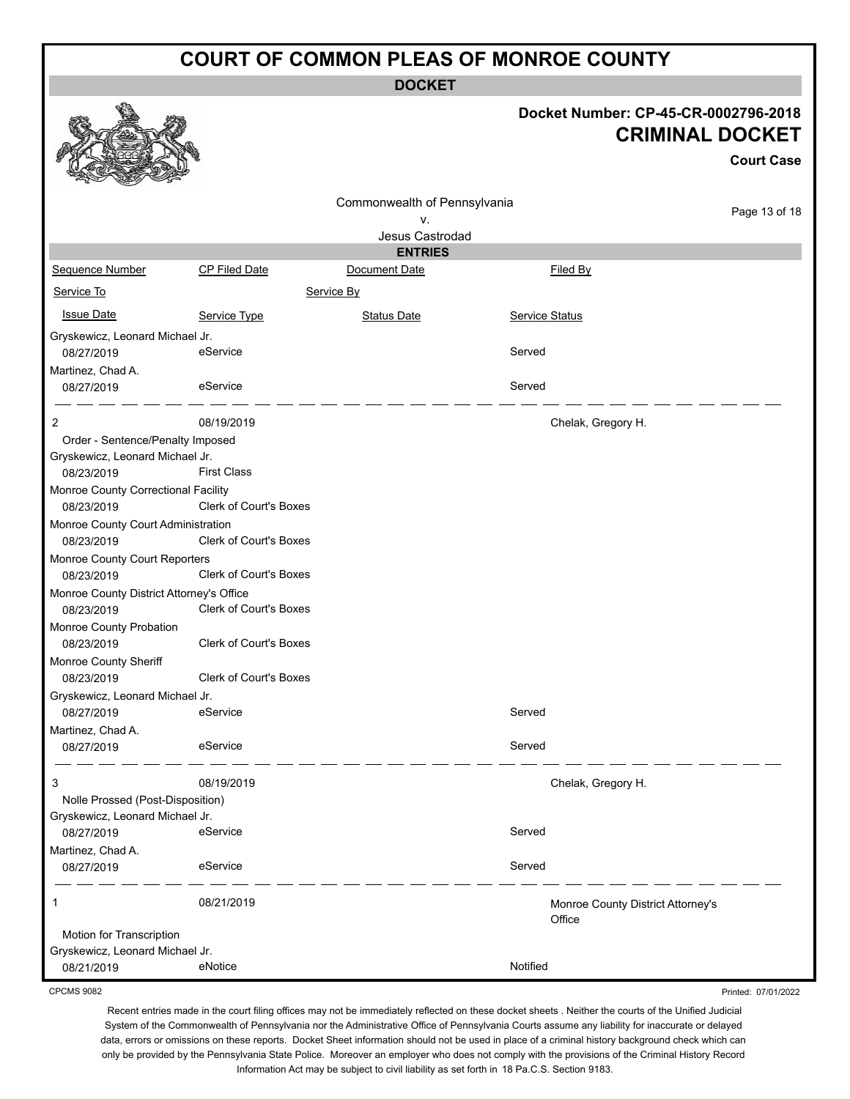**DOCKET**

|                                                                                                                                                                                                                                                                                                     |                                                                                                                            |                              |                | Docket Number: CP-45-CR-0002796-2018<br><b>CRIMINAL DOCKET</b><br><b>Court Case</b> |
|-----------------------------------------------------------------------------------------------------------------------------------------------------------------------------------------------------------------------------------------------------------------------------------------------------|----------------------------------------------------------------------------------------------------------------------------|------------------------------|----------------|-------------------------------------------------------------------------------------|
|                                                                                                                                                                                                                                                                                                     |                                                                                                                            | Commonwealth of Pennsylvania |                | Page 13 of 18                                                                       |
|                                                                                                                                                                                                                                                                                                     |                                                                                                                            | ۷.<br>Jesus Castrodad        |                |                                                                                     |
|                                                                                                                                                                                                                                                                                                     |                                                                                                                            | <b>ENTRIES</b>               |                |                                                                                     |
| Sequence Number                                                                                                                                                                                                                                                                                     | CP Filed Date                                                                                                              | Document Date                |                | Filed By                                                                            |
| Service To                                                                                                                                                                                                                                                                                          |                                                                                                                            | Service By                   |                |                                                                                     |
| <b>Issue Date</b>                                                                                                                                                                                                                                                                                   | Service Type                                                                                                               | <b>Status Date</b>           | Service Status |                                                                                     |
| Gryskewicz, Leonard Michael Jr.<br>08/27/2019                                                                                                                                                                                                                                                       | eService                                                                                                                   |                              | Served         |                                                                                     |
| Martinez, Chad A.<br>08/27/2019                                                                                                                                                                                                                                                                     | eService                                                                                                                   |                              | Served         |                                                                                     |
| $\overline{2}$                                                                                                                                                                                                                                                                                      | 08/19/2019                                                                                                                 |                              |                | Chelak, Gregory H.                                                                  |
| Order - Sentence/Penalty Imposed<br>Gryskewicz, Leonard Michael Jr.<br>08/23/2019<br>Monroe County Correctional Facility<br>08/23/2019<br>Monroe County Court Administration<br>08/23/2019<br>Monroe County Court Reporters<br>08/23/2019<br>Monroe County District Attorney's Office<br>08/23/2019 | <b>First Class</b><br>Clerk of Court's Boxes<br>Clerk of Court's Boxes<br>Clerk of Court's Boxes<br>Clerk of Court's Boxes |                              |                |                                                                                     |
| Monroe County Probation<br>08/23/2019<br>Monroe County Sheriff<br>08/23/2019                                                                                                                                                                                                                        | Clerk of Court's Boxes<br>Clerk of Court's Boxes                                                                           |                              |                |                                                                                     |
| Gryskewicz, Leonard Michael Jr.                                                                                                                                                                                                                                                                     |                                                                                                                            |                              |                |                                                                                     |
| 08/27/2019                                                                                                                                                                                                                                                                                          | eService                                                                                                                   |                              | Served         |                                                                                     |
| Martinez, Chad A.<br>08/27/2019                                                                                                                                                                                                                                                                     | eService                                                                                                                   |                              | Served         |                                                                                     |
| 3<br>Nolle Prossed (Post-Disposition)                                                                                                                                                                                                                                                               | 08/19/2019                                                                                                                 |                              |                | Chelak, Gregory H.                                                                  |
| Gryskewicz, Leonard Michael Jr.                                                                                                                                                                                                                                                                     |                                                                                                                            |                              |                |                                                                                     |
| 08/27/2019                                                                                                                                                                                                                                                                                          | eService                                                                                                                   |                              | Served         |                                                                                     |
| Martinez, Chad A.<br>08/27/2019                                                                                                                                                                                                                                                                     | eService                                                                                                                   |                              | Served         |                                                                                     |
| 1                                                                                                                                                                                                                                                                                                   | 08/21/2019                                                                                                                 |                              | Office         | Monroe County District Attorney's                                                   |
| Motion for Transcription<br>Gryskewicz, Leonard Michael Jr.<br>08/21/2019                                                                                                                                                                                                                           | eNotice                                                                                                                    |                              | Notified       |                                                                                     |
| <b>CPCMS 9082</b>                                                                                                                                                                                                                                                                                   |                                                                                                                            |                              |                | Printed: 07/01/2022                                                                 |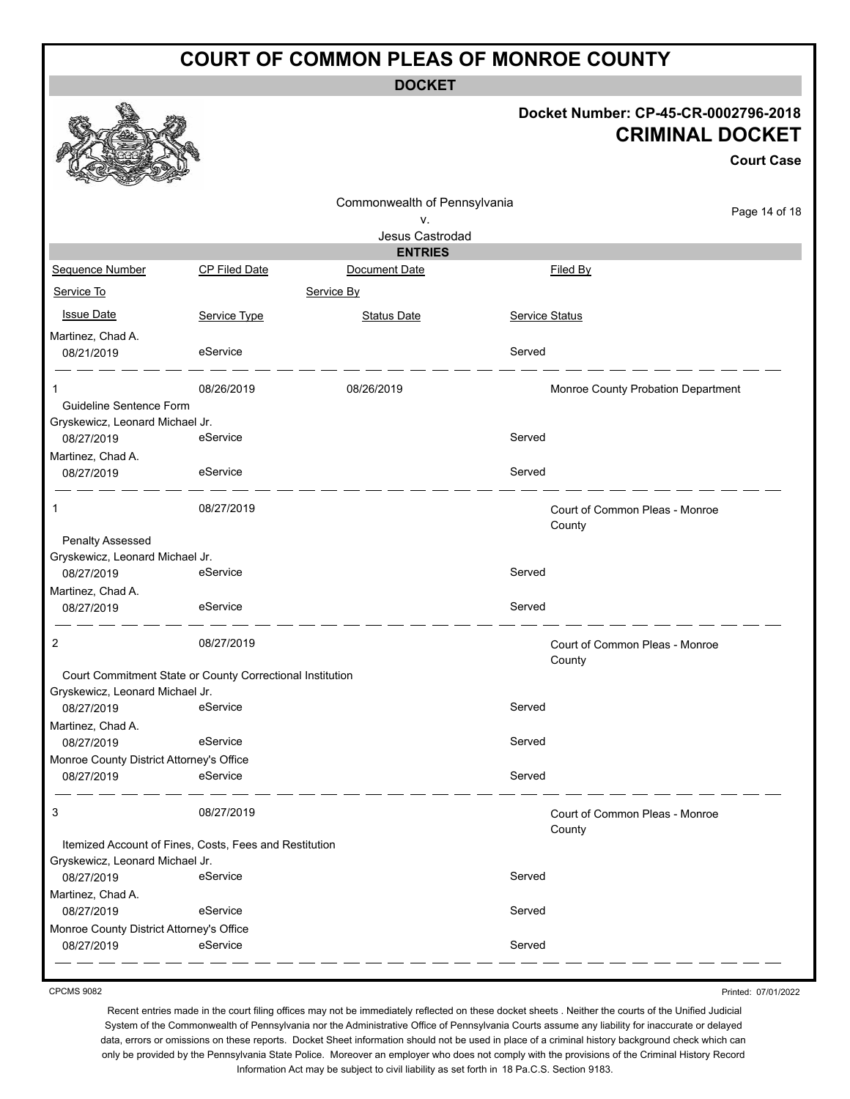**DOCKET**

#### **Docket Number: CP-45-CR-0002796-2018 CRIMINAL DOCKET**

|                                                                 |                                                           |                                    |                | <b>Court Case</b>                        |
|-----------------------------------------------------------------|-----------------------------------------------------------|------------------------------------|----------------|------------------------------------------|
|                                                                 |                                                           | Commonwealth of Pennsylvania<br>٧. |                | Page 14 of 18                            |
|                                                                 |                                                           | Jesus Castrodad                    |                |                                          |
|                                                                 |                                                           | <b>ENTRIES</b>                     |                |                                          |
| Sequence Number                                                 | <b>CP Filed Date</b>                                      | Document Date                      |                | Filed By                                 |
| Service To                                                      |                                                           | Service By                         |                |                                          |
| <b>Issue Date</b>                                               | Service Type                                              | <b>Status Date</b>                 | Service Status |                                          |
| Martinez, Chad A.<br>08/21/2019                                 | eService                                                  |                                    | Served         |                                          |
| 1                                                               | 08/26/2019                                                | 08/26/2019                         |                | Monroe County Probation Department       |
| Guideline Sentence Form                                         |                                                           |                                    |                |                                          |
| Gryskewicz, Leonard Michael Jr.                                 |                                                           |                                    |                |                                          |
| 08/27/2019                                                      | eService                                                  |                                    | Served         |                                          |
| Martinez, Chad A.                                               | eService                                                  |                                    | Served         |                                          |
| 08/27/2019                                                      |                                                           |                                    |                |                                          |
| 1                                                               | 08/27/2019                                                |                                    |                | Court of Common Pleas - Monroe<br>County |
| <b>Penalty Assessed</b>                                         |                                                           |                                    |                |                                          |
| Gryskewicz, Leonard Michael Jr.                                 |                                                           |                                    |                |                                          |
| 08/27/2019                                                      | eService                                                  |                                    | Served         |                                          |
| Martinez, Chad A.                                               |                                                           |                                    |                |                                          |
| 08/27/2019                                                      | eService                                                  |                                    | Served         |                                          |
| 2                                                               | 08/27/2019                                                |                                    |                | Court of Common Pleas - Monroe<br>County |
|                                                                 | Court Commitment State or County Correctional Institution |                                    |                |                                          |
| Gryskewicz, Leonard Michael Jr.                                 |                                                           |                                    |                |                                          |
| 08/27/2019                                                      | eService                                                  |                                    | Served         |                                          |
| Martinez, Chad A.                                               |                                                           |                                    | Served         |                                          |
| 08/27/2019                                                      | eService                                                  |                                    |                |                                          |
| Monroe County District Attorney's Office<br>08/27/2019 eService |                                                           |                                    | Served         |                                          |
|                                                                 |                                                           |                                    |                |                                          |
| 3                                                               | 08/27/2019                                                |                                    |                | Court of Common Pleas - Monroe<br>County |
|                                                                 | Itemized Account of Fines, Costs, Fees and Restitution    |                                    |                |                                          |
| Gryskewicz, Leonard Michael Jr.                                 |                                                           |                                    |                |                                          |
| 08/27/2019                                                      | eService                                                  |                                    | Served         |                                          |
| Martinez, Chad A.                                               |                                                           |                                    |                |                                          |
| 08/27/2019                                                      | eService                                                  |                                    | Served         |                                          |
| Monroe County District Attorney's Office                        |                                                           |                                    |                |                                          |
| 08/27/2019                                                      | eService                                                  |                                    | Served         |                                          |

CPCMS 9082

Printed: 07/01/2022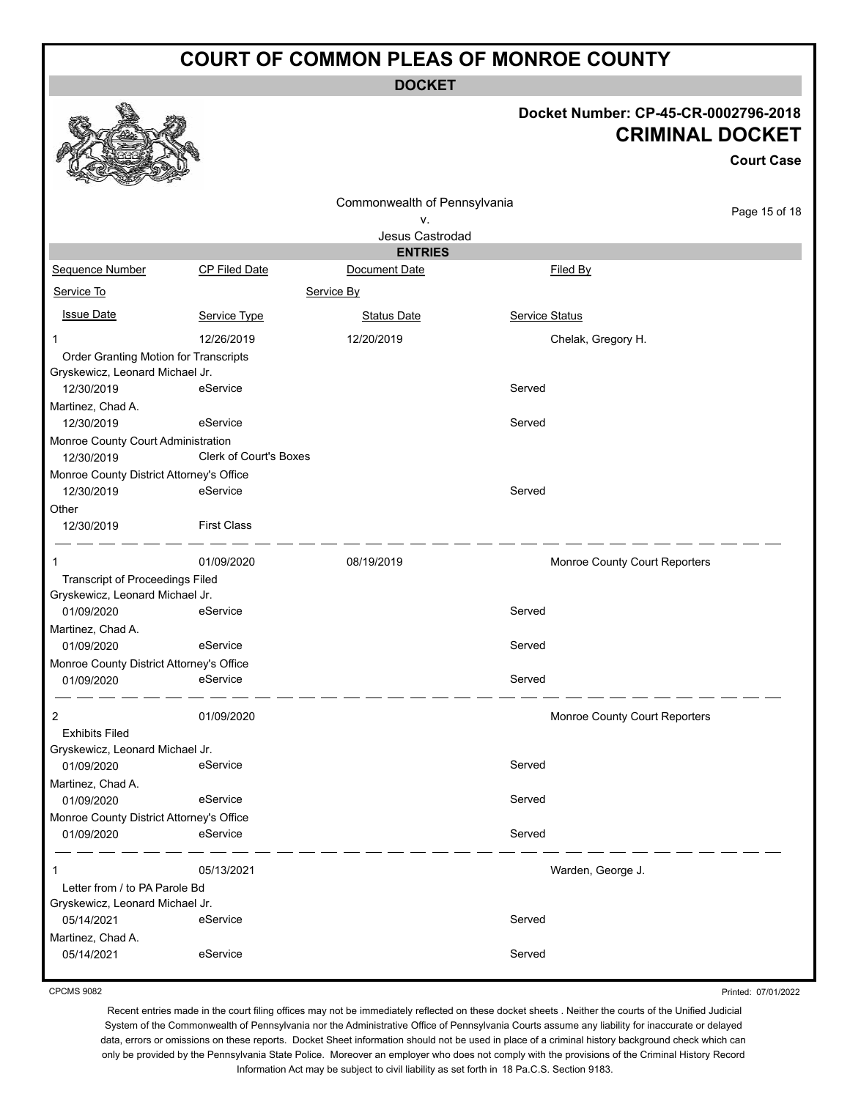**DOCKET**

#### **Docket Number: CP-45-CR-0002796-2018 CRIMINAL DOCKET**

**Court Case**

|                                          |                        | Commonwealth of Pennsylvania |                               |               |
|------------------------------------------|------------------------|------------------------------|-------------------------------|---------------|
|                                          |                        | ٧.                           |                               | Page 15 of 18 |
|                                          |                        | Jesus Castrodad              |                               |               |
|                                          |                        | <b>ENTRIES</b>               |                               |               |
| Sequence Number                          | CP Filed Date          | Document Date                | Filed By                      |               |
| Service To                               |                        | Service By                   |                               |               |
| <b>Issue Date</b>                        | Service Type           | <b>Status Date</b>           | Service Status                |               |
| 1                                        | 12/26/2019             | 12/20/2019                   | Chelak, Gregory H.            |               |
| Order Granting Motion for Transcripts    |                        |                              |                               |               |
| Gryskewicz, Leonard Michael Jr.          |                        |                              |                               |               |
| 12/30/2019                               | eService               |                              | Served                        |               |
| Martinez, Chad A.                        |                        |                              |                               |               |
| 12/30/2019                               | eService               |                              | Served                        |               |
| Monroe County Court Administration       |                        |                              |                               |               |
| 12/30/2019                               | Clerk of Court's Boxes |                              |                               |               |
| Monroe County District Attorney's Office |                        |                              |                               |               |
| 12/30/2019                               | eService               |                              | Served                        |               |
| Other                                    |                        |                              |                               |               |
| 12/30/2019                               | <b>First Class</b>     |                              |                               |               |
| 1                                        | 01/09/2020             | 08/19/2019                   | Monroe County Court Reporters |               |
| <b>Transcript of Proceedings Filed</b>   |                        |                              |                               |               |
| Gryskewicz, Leonard Michael Jr.          |                        |                              |                               |               |
| 01/09/2020                               | eService               |                              | Served                        |               |
| Martinez, Chad A.                        |                        |                              |                               |               |
| 01/09/2020                               | eService               |                              | Served                        |               |
| Monroe County District Attorney's Office |                        |                              |                               |               |
| 01/09/2020                               | eService               |                              | Served                        |               |
| 2                                        | 01/09/2020             |                              | Monroe County Court Reporters |               |
| <b>Exhibits Filed</b>                    |                        |                              |                               |               |
| Gryskewicz, Leonard Michael Jr.          |                        |                              |                               |               |
| 01/09/2020                               | eService               |                              | Served                        |               |
| Martinez, Chad A.                        |                        |                              |                               |               |
| 01/09/2020                               | eService               |                              | Served                        |               |
| Monroe County District Attorney's Office |                        |                              |                               |               |
| 01/09/2020                               | eService               |                              | Served                        |               |
| 1                                        | 05/13/2021             |                              | Warden, George J.             |               |
| Letter from / to PA Parole Bd            |                        |                              |                               |               |
| Gryskewicz, Leonard Michael Jr.          |                        |                              |                               |               |
| 05/14/2021                               | eService               |                              | Served                        |               |
| Martinez, Chad A.                        |                        |                              |                               |               |
| 05/14/2021                               | eService               |                              | Served                        |               |
|                                          |                        |                              |                               |               |

Printed: 07/01/2022

Recent entries made in the court filing offices may not be immediately reflected on these docket sheets . Neither the courts of the Unified Judicial System of the Commonwealth of Pennsylvania nor the Administrative Office of Pennsylvania Courts assume any liability for inaccurate or delayed data, errors or omissions on these reports. Docket Sheet information should not be used in place of a criminal history background check which can only be provided by the Pennsylvania State Police. Moreover an employer who does not comply with the provisions of the Criminal History Record Information Act may be subject to civil liability as set forth in 18 Pa.C.S. Section 9183.



CPCMS 9082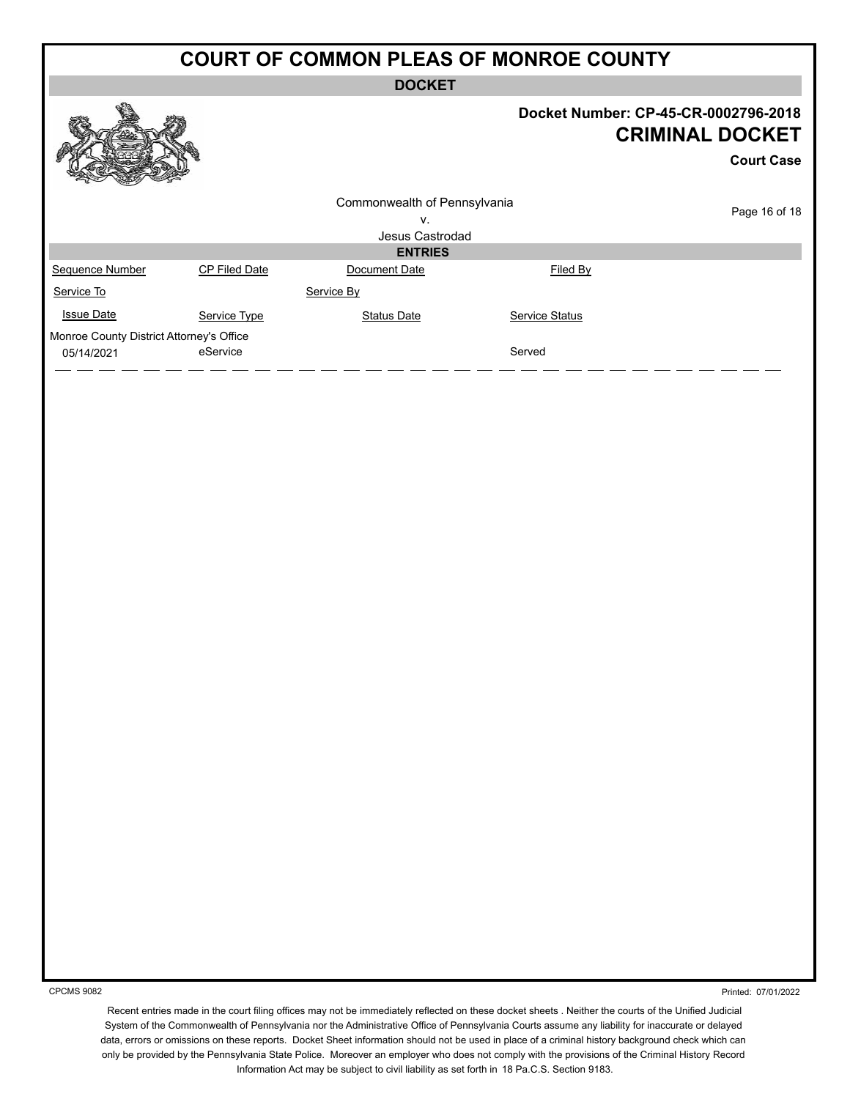**DOCKET**

|                                                        |               | <b>DOCALI</b>                |                                                                                                                                                     |                                                                                     |
|--------------------------------------------------------|---------------|------------------------------|-----------------------------------------------------------------------------------------------------------------------------------------------------|-------------------------------------------------------------------------------------|
|                                                        |               |                              |                                                                                                                                                     | Docket Number: CP-45-CR-0002796-2018<br><b>CRIMINAL DOCKET</b><br><b>Court Case</b> |
|                                                        |               | Commonwealth of Pennsylvania |                                                                                                                                                     | Page 16 of 18                                                                       |
|                                                        |               | V.<br>Jesus Castrodad        |                                                                                                                                                     |                                                                                     |
|                                                        |               | <b>ENTRIES</b>               |                                                                                                                                                     |                                                                                     |
| Sequence Number                                        | CP Filed Date | Document Date                | Filed By                                                                                                                                            |                                                                                     |
| Service To                                             |               | Service By                   |                                                                                                                                                     |                                                                                     |
| <b>Issue Date</b>                                      | Service Type  | <b>Status Date</b>           | Service Status                                                                                                                                      |                                                                                     |
| Monroe County District Attorney's Office<br>05/14/2021 | eService      |                              | Served                                                                                                                                              |                                                                                     |
|                                                        |               |                              |                                                                                                                                                     |                                                                                     |
|                                                        |               |                              |                                                                                                                                                     |                                                                                     |
|                                                        |               |                              |                                                                                                                                                     |                                                                                     |
|                                                        |               |                              |                                                                                                                                                     |                                                                                     |
|                                                        |               |                              |                                                                                                                                                     |                                                                                     |
|                                                        |               |                              |                                                                                                                                                     |                                                                                     |
|                                                        |               |                              |                                                                                                                                                     |                                                                                     |
|                                                        |               |                              |                                                                                                                                                     |                                                                                     |
|                                                        |               |                              |                                                                                                                                                     |                                                                                     |
|                                                        |               |                              |                                                                                                                                                     |                                                                                     |
|                                                        |               |                              |                                                                                                                                                     |                                                                                     |
|                                                        |               |                              |                                                                                                                                                     |                                                                                     |
|                                                        |               |                              |                                                                                                                                                     |                                                                                     |
|                                                        |               |                              |                                                                                                                                                     |                                                                                     |
|                                                        |               |                              |                                                                                                                                                     |                                                                                     |
|                                                        |               |                              |                                                                                                                                                     |                                                                                     |
|                                                        |               |                              |                                                                                                                                                     |                                                                                     |
| <b>CPCMS 9082</b>                                      |               |                              | Recept entries made in the court filing offices may not be immediately reflected on these docket sheets. Neither the courts of the Unified Judicial | Printed: 07/01/2022                                                                 |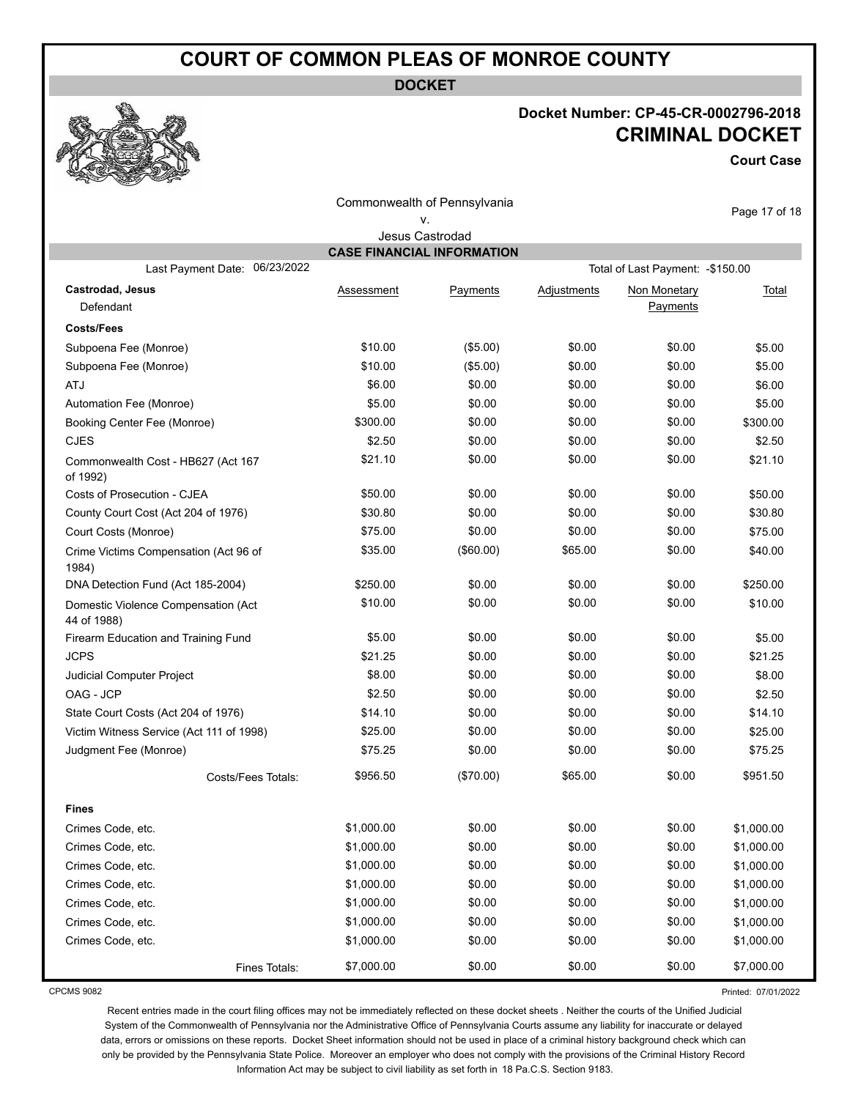**DOCKET**

#### **Docket Number: CP-45-CR-0002796-2018 CRIMINAL DOCKET**

**Court Case**

|                                                    |                                   | Commonwealth of Pennsylvania |                    |                                   | Page 17 of 18 |
|----------------------------------------------------|-----------------------------------|------------------------------|--------------------|-----------------------------------|---------------|
|                                                    |                                   | ۷.                           |                    |                                   |               |
|                                                    |                                   | Jesus Castrodad              |                    |                                   |               |
|                                                    | <b>CASE FINANCIAL INFORMATION</b> |                              |                    |                                   |               |
| 06/23/2022<br>Last Payment Date:                   |                                   |                              |                    | Total of Last Payment: - \$150.00 |               |
| <b>Castrodad, Jesus</b><br>Defendant               | Assessment                        | Payments                     | <u>Adjustments</u> | Non Monetary<br>Payments          | Total         |
| <b>Costs/Fees</b>                                  |                                   |                              |                    |                                   |               |
| Subpoena Fee (Monroe)                              | \$10.00                           | (\$5.00)                     | \$0.00             | \$0.00                            | \$5.00        |
| Subpoena Fee (Monroe)                              | \$10.00                           | (\$5.00)                     | \$0.00             | \$0.00                            | \$5.00        |
| <b>ATJ</b>                                         | \$6.00                            | \$0.00                       | \$0.00             | \$0.00                            | \$6.00        |
| Automation Fee (Monroe)                            | \$5.00                            | \$0.00                       | \$0.00             | \$0.00                            | \$5.00        |
| Booking Center Fee (Monroe)                        | \$300.00                          | \$0.00                       | \$0.00             | \$0.00                            | \$300.00      |
| <b>CJES</b>                                        | \$2.50                            | \$0.00                       | \$0.00             | \$0.00                            | \$2.50        |
| Commonwealth Cost - HB627 (Act 167<br>of 1992)     | \$21.10                           | \$0.00                       | \$0.00             | \$0.00                            | \$21.10       |
| Costs of Prosecution - CJEA                        | \$50.00                           | \$0.00                       | \$0.00             | \$0.00                            | \$50.00       |
| County Court Cost (Act 204 of 1976)                | \$30.80                           | \$0.00                       | \$0.00             | \$0.00                            | \$30.80       |
| Court Costs (Monroe)                               | \$75.00                           | \$0.00                       | \$0.00             | \$0.00                            | \$75.00       |
| Crime Victims Compensation (Act 96 of<br>1984)     | \$35.00                           | (\$60.00)                    | \$65.00            | \$0.00                            | \$40.00       |
| DNA Detection Fund (Act 185-2004)                  | \$250.00                          | \$0.00                       | \$0.00             | \$0.00                            | \$250.00      |
| Domestic Violence Compensation (Act<br>44 of 1988) | \$10.00                           | \$0.00                       | \$0.00             | \$0.00                            | \$10.00       |
| Firearm Education and Training Fund                | \$5.00                            | \$0.00                       | \$0.00             | \$0.00                            | \$5.00        |
| <b>JCPS</b>                                        | \$21.25                           | \$0.00                       | \$0.00             | \$0.00                            | \$21.25       |
| Judicial Computer Project                          | \$8.00                            | \$0.00                       | \$0.00             | \$0.00                            | \$8.00        |
| OAG - JCP                                          | \$2.50                            | \$0.00                       | \$0.00             | \$0.00                            | \$2.50        |
| State Court Costs (Act 204 of 1976)                | \$14.10                           | \$0.00                       | \$0.00             | \$0.00                            | \$14.10       |
| Victim Witness Service (Act 111 of 1998)           | \$25.00                           | \$0.00                       | \$0.00             | \$0.00                            | \$25.00       |
| Judgment Fee (Monroe)                              | \$75.25                           | \$0.00                       | \$0.00             | \$0.00                            | \$75.25       |
| Costs/Fees Totals:                                 | \$956.50                          | (\$70.00)                    | \$65.00            | \$0.00                            | \$951.50      |
| <b>Fines</b>                                       |                                   |                              |                    |                                   |               |
| Crimes Code, etc.                                  | \$1,000.00                        | \$0.00                       | \$0.00             | \$0.00                            | \$1,000.00    |
| Crimes Code, etc.                                  | \$1,000.00                        | \$0.00                       | \$0.00             | \$0.00                            | \$1,000.00    |
| Crimes Code, etc.                                  | \$1,000.00                        | \$0.00                       | \$0.00             | \$0.00                            | \$1,000.00    |
| Crimes Code, etc.                                  | \$1,000.00                        | \$0.00                       | \$0.00             | \$0.00                            | \$1,000.00    |
| Crimes Code, etc.                                  | \$1,000.00                        | \$0.00                       | \$0.00             | \$0.00                            | \$1,000.00    |
| Crimes Code, etc.                                  | \$1,000.00                        | \$0.00                       | \$0.00             | \$0.00                            | \$1,000.00    |
| Crimes Code, etc.                                  | \$1,000.00                        | \$0.00                       | \$0.00             | \$0.00                            | \$1,000.00    |
| Fines Totals:                                      | \$7,000.00                        | \$0.00                       | \$0.00             | \$0.00                            | \$7,000.00    |

CPCMS 9082

Printed: 07/01/2022